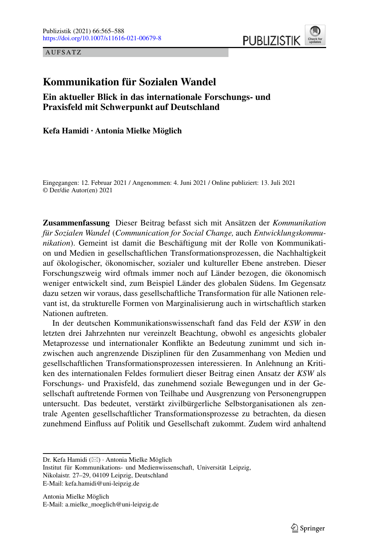AUFSATZ



# **Kommunikation für Sozialen Wandel**

**Ein aktueller Blick in das internationale Forschungs- und Praxisfeld mit Schwerpunkt auf Deutschland**

**Kefa Hamidi · Antonia Mielke Möglich**

Eingegangen: 12. Februar 2021 / Angenommen: 4. Juni 2021 / Online publiziert: 13. Juli 2021 © Der/die Autor(en) 2021

**Zusammenfassung** Dieser Beitrag befasst sich mit Ansätzen der *Kommunikation für Sozialen Wandel* (*Communication for Social Change,* auch *Entwicklungskommunikation*). Gemeint ist damit die Beschäftigung mit der Rolle von Kommunikation und Medien in gesellschaftlichen Transformationsprozessen, die Nachhaltigkeit auf ökologischer, ökonomischer, sozialer und kultureller Ebene anstreben. Dieser Forschungszweig wird oftmals immer noch auf Länder bezogen, die ökonomisch weniger entwickelt sind, zum Beispiel Länder des globalen Südens. Im Gegensatz dazu setzen wir voraus, dass gesellschaftliche Transformation für alle Nationen relevant ist, da strukturelle Formen von Marginalisierung auch in wirtschaftlich starken Nationen auftreten.

In der deutschen Kommunikationswissenschaft fand das Feld der *KSW* in den letzten drei Jahrzehnten nur vereinzelt Beachtung, obwohl es angesichts globaler Metaprozesse und internationaler Konflikte an Bedeutung zunimmt und sich inzwischen auch angrenzende Disziplinen für den Zusammenhang von Medien und gesellschaftlichen Transformationsprozessen interessieren. In Anlehnung an Kritiken des internationalen Feldes formuliert dieser Beitrag einen Ansatz der *KSW* als Forschungs- und Praxisfeld, das zunehmend soziale Bewegungen und in der Gesellschaft auftretende Formen von Teilhabe und Ausgrenzung von Personengruppen untersucht. Das bedeutet, verstärkt zivilbürgerliche Selbstorganisationen als zentrale Agenten gesellschaftlicher Transformationsprozesse zu betrachten, da diesen zunehmend Einfluss auf Politik und Gesellschaft zukommt. Zudem wird anhaltend

Antonia Mielke Möglich E-Mail: a.mielke\_moeglich@uni-leipzig.de

Dr. Kefa Hamidi ( $\boxtimes$ ) · Antonia Mielke Möglich

Institut für Kommunikations- und Medienwissenschaft, Universität Leipzig, Nikolaistr. 27–29, 04109 Leipzig, Deutschland E-Mail: kefa.hamidi@uni-leipzig.de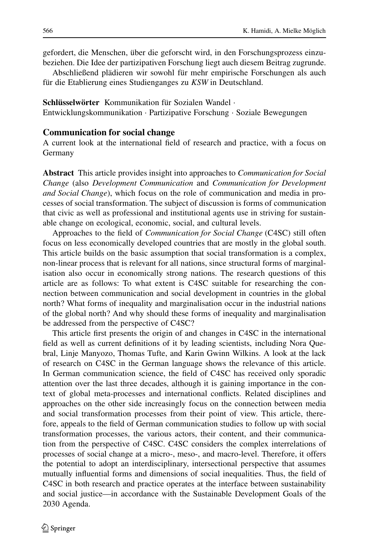gefordert, die Menschen, über die geforscht wird, in den Forschungsprozess einzubeziehen. Die Idee der partizipativen Forschung liegt auch diesem Beitrag zugrunde.

Abschließend plädieren wir sowohl für mehr empirische Forschungen als auch für die Etablierung eines Studienganges zu *KSW* in Deutschland.

**Schlüsselwörter** Kommunikation für Sozialen Wandel ·

Entwicklungskommunikation · Partizipative Forschung · Soziale Bewegungen

## **Communication for social change**

A current look at the international field of research and practice, with a focus on Germany

**Abstract** This article provides insight into approaches to *Communication for Social Change* (also *Development Communication* and *Communication for Development and Social Change*), which focus on the role of communication and media in processes of social transformation. The subject of discussion is forms of communication that civic as well as professional and institutional agents use in striving for sustainable change on ecological, economic, social, and cultural levels.

Approaches to the field of *Communication for Social Change* (C4SC) still often focus on less economically developed countries that are mostly in the global south. This article builds on the basic assumption that social transformation is a complex, non-linear process that is relevant for all nations, since structural forms of marginalisation also occur in economically strong nations. The research questions of this article are as follows: To what extent is C4SC suitable for researching the connection between communication and social development in countries in the global north? What forms of inequality and marginalisation occur in the industrial nations of the global north? And why should these forms of inequality and marginalisation be addressed from the perspective of C4SC?

This article first presents the origin of and changes in C4SC in the international field as well as current definitions of it by leading scientists, including Nora Quebral, Linje Manyozo, Thomas Tufte, and Karin Gwinn Wilkins. A look at the lack of research on C4SC in the German language shows the relevance of this article. In German communication science, the field of C4SC has received only sporadic attention over the last three decades, although it is gaining importance in the context of global meta-processes and international conflicts. Related disciplines and approaches on the other side increasingly focus on the connection between media and social transformation processes from their point of view. This article, therefore, appeals to the field of German communication studies to follow up with social transformation processes, the various actors, their content, and their communication from the perspective of C4SC. C4SC considers the complex interrelations of processes of social change at a micro-, meso-, and macro-level. Therefore, it offers the potential to adopt an interdisciplinary, intersectional perspective that assumes mutually influential forms and dimensions of social inequalities. Thus, the field of C4SC in both research and practice operates at the interface between sustainability and social justice—in accordance with the Sustainable Development Goals of the 2030 Agenda.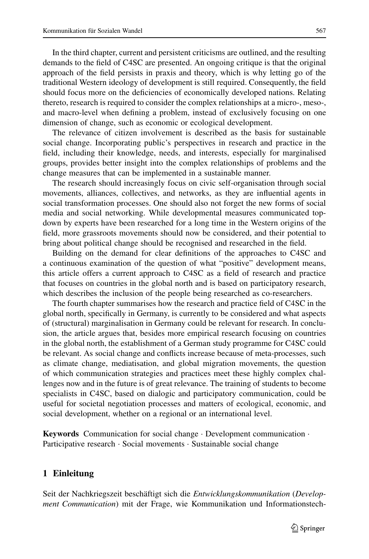In the third chapter, current and persistent criticisms are outlined, and the resulting demands to the field of C4SC are presented. An ongoing critique is that the original approach of the field persists in praxis and theory, which is why letting go of the traditional Western ideology of development is still required. Consequently, the field should focus more on the deficiencies of economically developed nations. Relating thereto, research is required to consider the complex relationships at a micro-, meso-, and macro-level when defining a problem, instead of exclusively focusing on one dimension of change, such as economic or ecological development.

The relevance of citizen involvement is described as the basis for sustainable social change. Incorporating public's perspectives in research and practice in the field, including their knowledge, needs, and interests, especially for marginalised groups, provides better insight into the complex relationships of problems and the change measures that can be implemented in a sustainable manner.

The research should increasingly focus on civic self-organisation through social movements, alliances, collectives, and networks, as they are influential agents in social transformation processes. One should also not forget the new forms of social media and social networking. While developmental measures communicated topdown by experts have been researched for a long time in the Western origins of the field, more grassroots movements should now be considered, and their potential to bring about political change should be recognised and researched in the field.

Building on the demand for clear definitions of the approaches to C4SC and a continuous examination of the question of what "positive" development means, this article offers a current approach to C4SC as a field of research and practice that focuses on countries in the global north and is based on participatory research, which describes the inclusion of the people being researched as co-researchers.

The fourth chapter summarises how the research and practice field of C4SC in the global north, specifically in Germany, is currently to be considered and what aspects of (structural) marginalisation in Germany could be relevant for research. In conclusion, the article argues that, besides more empirical research focusing on countries in the global north, the establishment of a German study programme for C4SC could be relevant. As social change and conflicts increase because of meta-processes, such as climate change, mediatisation, and global migration movements, the question of which communication strategies and practices meet these highly complex challenges now and in the future is of great relevance. The training of students to become specialists in C4SC, based on dialogic and participatory communication, could be useful for societal negotiation processes and matters of ecological, economic, and social development, whether on a regional or an international level.

**Keywords** Communication for social change · Development communication · Participative research · Social movements · Sustainable social change

## **1 Einleitung**

Seit der Nachkriegszeit beschäftigt sich die *Entwicklungskommunikation* (*Development Communication*) mit der Frage, wie Kommunikation und Informationstech-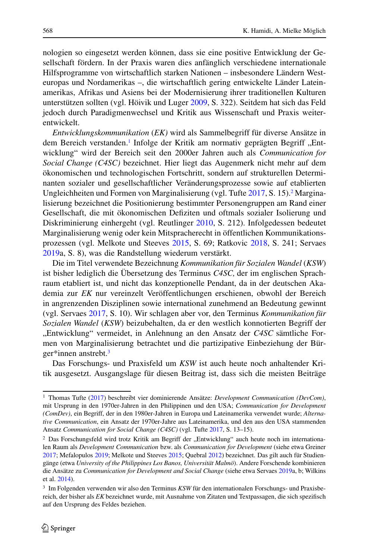nologien so eingesetzt werden können, dass sie eine positive Entwicklung der Gesellschaft fördern. In der Praxis waren dies anfänglich verschiedene internationale Hilfsprogramme von wirtschaftlich starken Nationen – insbesondere Ländern Westeuropas und Nordamerikas –, die wirtschaftlich gering entwickelte Länder Lateinamerikas, Afrikas und Asiens bei der Modernisierung ihrer traditionellen Kulturen unterstützen sollten (vgl. Höivik und Luger [2009,](#page-21-0) S. 322). Seitdem hat sich das Feld jedoch durch Paradigmenwechsel und Kritik aus Wissenschaft und Praxis weiterentwickelt.

*Entwicklungskommunikation* (*EK)* wird als Sammelbegriff für diverse Ansätze in dem Bereich verstanden.<sup>1</sup> Infolge der Kritik am normativ geprägten Begriff ..Entwicklung" wird der Bereich seit den 2000er Jahren auch als *Communication for Social Change (C4SC)* bezeichnet. Hier liegt das Augenmerk nicht mehr auf dem ökonomischen und technologischen Fortschritt, sondern auf strukturellen Determinanten sozialer und gesellschaftlicher Veränderungsprozesse sowie auf etablierten Ungleichheiten und Formen von Marginalisierung (vgl. Tufte [2017,](#page-23-0) S. 15).<sup>2</sup> Marginalisierung bezeichnet die Positionierung bestimmter Personengruppen am Rand einer Gesellschaft, die mit ökonomischen Defiziten und oftmals sozialer Isolierung und Diskriminierung einhergeht (vgl. Reutlinger [2010,](#page-22-0) S. 212). Infolgedessen bedeutet Marginalisierung wenig oder kein Mitspracherecht in öffentlichen Kommunikationsprozessen (vgl. Melkote und Steeves [2015,](#page-21-1) S. 69; Ratkovic [2018,](#page-22-1) S. 241; Servaes [2019a](#page-22-2), S. 8), was die Randstellung wiederum verstärkt.

Die im Titel verwendete Bezeichnung *Kommunikation für Sozialen Wandel* (*KSW*) ist bisher lediglich die Übersetzung des Terminus *C4SC,* der im englischen Sprachraum etabliert ist, und nicht das konzeptionelle Pendant, da in der deutschen Akademia zur *EK* nur vereinzelt Veröffentlichungen erschienen, obwohl der Bereich in angrenzenden Disziplinen sowie international zunehmend an Bedeutung gewinnt (vgl. Servaes [2017,](#page-22-3) S. 10). Wir schlagen aber vor, den Terminus *Kommunikation für Sozialen Wandel* (*KSW*) beizubehalten, da er den westlich konnotierten Begriff der "Entwicklung" vermeidet, in Anlehnung an den Ansatz der C4SC sämtliche Formen von Marginalisierung betrachtet und die partizipative Einbeziehung der Bürger\*innen anstrebt[.3](#page-3-2)

Das Forschungs- und Praxisfeld um *KSW* ist auch heute noch anhaltender Kritik ausgesetzt. Ausgangslage für diesen Beitrag ist, dass sich die meisten Beiträge

<span id="page-3-0"></span><sup>1</sup> Thomas Tufte [\(2017\)](#page-23-0) beschreibt vier dominierende Ansätze: *Development Communication (DevCom)*, mit Ursprung in den 1970er-Jahren in den Philippinen und den USA; *Communication for Development (ComDev)*, ein Begriff, der in den 1980er-Jahren in Europa und Lateinamerika verwendet wurde; *Alternative Communication*, ein Ansatz der 1970er-Jahre aus Lateinamerika, und den aus den USA stammenden Ansatz *Communication for Social Change (C4SC)* (vgl. Tufte [2017,](#page-23-0) S. 13–15).

<span id="page-3-1"></span><sup>&</sup>lt;sup>2</sup> Das Forschungsfeld wird trotz Kritik am Begriff der "Entwicklung" auch heute noch im internationalen Raum als *Development Communication* bzw. als *Communication for Development* (siehe etwa Greiner [2017;](#page-20-0) Mefalopulos [2019;](#page-21-2) Melkote und Steeves [2015;](#page-21-1) Quebral [2012\)](#page-22-4) bezeichnet. Das gilt auch für Studiengänge (etwa *University of the Philippines Los Banos, Universität Malmö*). Andere Forschende kombinieren die Ansätze zu *Communication for Development and Social Change* (siehe etwa Servaes [2019a](#page-22-2), b; Wilkins et al. [2014\)](#page-23-1).

<span id="page-3-2"></span><sup>3</sup> Im Folgenden verwenden wir also den Terminus *KSW* für den internationalen Forschungs- und Praxisbereich, der bisher als *EK* bezeichnet wurde, mit Ausnahme von Zitaten und Textpassagen, die sich spezifisch auf den Ursprung des Feldes beziehen.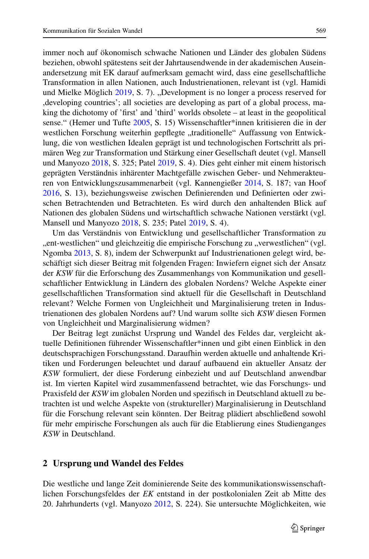immer noch auf ökonomisch schwache Nationen und Länder des globalen Südens beziehen, obwohl spätestens seit der Jahrtausendwende in der akademischen Auseinandersetzung mit EK darauf aufmerksam gemacht wird, dass eine gesellschaftliche Transformation in allen Nationen, auch Industrienationen, relevant ist (vgl. Hamidi und Mielke Möglich [2019,](#page-21-3) S. 7). "Development is no longer a process reserved for ,developing countries'; all societies are developing as part of a global process, making the dichotomy of 'first' and 'third' worlds obsolete – at least in the geopolitical sense." (Hemer und Tufte [2005,](#page-21-4) S. 15) Wissenschaftler\*innen kritisieren die in der westlichen Forschung weiterhin gepflegte "traditionelle" Auffassung von Entwicklung, die von westlichen Idealen geprägt ist und technologischen Fortschritt als primären Weg zur Transformation und Stärkung einer Gesellschaft deutet (vgl. Mansell und Manyozo [2018,](#page-21-5) S. 325; Patel [2019,](#page-22-5) S. 4). Dies geht einher mit einem historisch geprägten Verständnis inhärenter Machtgefälle zwischen Geber- und Nehmerakteuren von Entwicklungszusammenarbeit (vgl. Kannengießer [2014,](#page-21-6) S. 187; van Hoof [2016,](#page-23-2) S. 13), beziehungsweise zwischen Definierenden und Definierten oder zwischen Betrachtenden und Betrachteten. Es wird durch den anhaltenden Blick auf Nationen des globalen Südens und wirtschaftlich schwache Nationen verstärkt (vgl. Mansell und Manyozo [2018,](#page-21-5) S. 235; Patel [2019,](#page-22-5) S. 4).

Um das Verständnis von Entwicklung und gesellschaftlicher Transformation zu "ent-westlichen" und gleichzeitig die empirische Forschung zu "verwestlichen" (vgl. Ngomba [2013,](#page-21-7) S. 8), indem der Schwerpunkt auf Industrienationen gelegt wird, beschäftigt sich dieser Beitrag mit folgenden Fragen: Inwiefern eignet sich der Ansatz der *KSW* für die Erforschung des Zusammenhangs von Kommunikation und gesellschaftlicher Entwicklung in Ländern des globalen Nordens? Welche Aspekte einer gesellschaftlichen Transformation sind aktuell für die Gesellschaft in Deutschland relevant? Welche Formen von Ungleichheit und Marginalisierung treten in Industrienationen des globalen Nordens auf? Und warum sollte sich *KSW* diesen Formen von Ungleichheit und Marginalisierung widmen?

Der Beitrag legt zunächst Ursprung und Wandel des Feldes dar, vergleicht aktuelle Definitionen führender Wissenschaftler\*innen und gibt einen Einblick in den deutschsprachigen Forschungsstand. Daraufhin werden aktuelle und anhaltende Kritiken und Forderungen beleuchtet und darauf aufbauend ein aktueller Ansatz der *KSW* formuliert, der diese Forderung einbezieht und auf Deutschland anwendbar ist. Im vierten Kapitel wird zusammenfassend betrachtet, wie das Forschungs- und Praxisfeld der *KSW* im globalen Norden und spezifisch in Deutschland aktuell zu betrachten ist und welche Aspekte von (struktureller) Marginalisierung in Deutschland für die Forschung relevant sein könnten. Der Beitrag plädiert abschließend sowohl für mehr empirische Forschungen als auch für die Etablierung eines Studienganges *KSW* in Deutschland.

#### **2 Ursprung und Wandel des Feldes**

Die westliche und lange Zeit dominierende Seite des kommunikationswissenschaftlichen Forschungsfeldes der *EK* entstand in der postkolonialen Zeit ab Mitte des 20. Jahrhunderts (vgl. Manyozo [2012,](#page-21-8) S. 224). Sie untersuchte Möglichkeiten, wie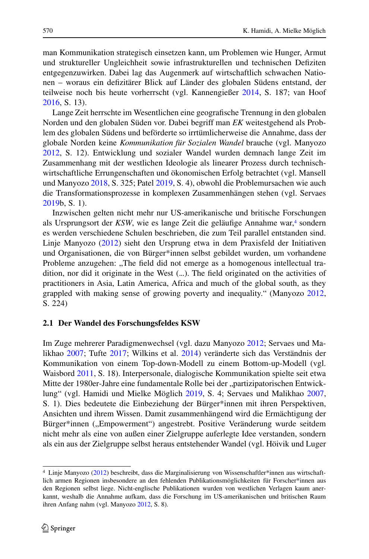man Kommunikation strategisch einsetzen kann, um Problemen wie Hunger, Armut und struktureller Ungleichheit sowie infrastrukturellen und technischen Defiziten entgegenzuwirken. Dabei lag das Augenmerk auf wirtschaftlich schwachen Nationen – woraus ein defizitärer Blick auf Länder des globalen Südens entstand, der teilweise noch bis heute vorherrscht (vgl. Kannengießer [2014,](#page-21-6) S. 187; van Hoof [2016,](#page-23-2) S. 13).

Lange Zeit herrschte im Wesentlichen eine geografische Trennung in den globalen Norden und den globalen Süden vor. Dabei begriff man *EK* weitestgehend als Problem des globalen Südens und beförderte so irrtümlicherweise die Annahme, dass der globale Norden keine *Kommunikation für Sozialen Wandel* brauche (vgl. Manyozo [2012,](#page-21-8) S. 12). Entwicklung und sozialer Wandel wurden demnach lange Zeit im Zusammenhang mit der westlichen Ideologie als linearer Prozess durch technischwirtschaftliche Errungenschaften und ökonomischen Erfolg betrachtet (vgl. Mansell und Manyozo [2018,](#page-21-5) S. 325; Patel [2019,](#page-22-5) S. 4), obwohl die Problemursachen wie auch die Transformationsprozesse in komplexen Zusammenhängen stehen (vgl. Servaes [2019b](#page-22-6), S. 1).

Inzwischen gelten nicht mehr nur US-amerikanische und britische Forschungen als Ursprungsort der *KSW*, wie es lange Zeit die geläufige Annahme war,<sup>4</sup> sondern es werden verschiedene Schulen beschrieben, die zum Teil parallel entstanden sind. Linje Manyozo [\(2012\)](#page-21-8) sieht den Ursprung etwa in dem Praxisfeld der Initiativen und Organisationen, die von Bürger\*innen selbst gebildet wurden, um vorhandene Probleme anzugehen: "The field did not emerge as a homogenous intellectual tradition, nor did it originate in the West (...). The field originated on the activities of practitioners in Asia, Latin America, Africa and much of the global south, as they grappled with making sense of growing poverty and inequality." (Manyozo [2012,](#page-21-8) S. 224)

#### **2.1 Der Wandel des Forschungsfeldes KSW**

Im Zuge mehrerer Paradigmenwechsel (vgl. dazu Manyozo [2012;](#page-21-8) Servaes und Malikhao [2007;](#page-22-7) Tufte [2017;](#page-23-0) Wilkins et al. [2014\)](#page-23-1) veränderte sich das Verständnis der Kommunikation von einem Top-down-Modell zu einem Bottom-up-Modell (vgl. Waisbord [2011,](#page-23-3) S. 18). Interpersonale, dialogische Kommunikation spielte seit etwa Mitte der 1980er-Jahre eine fundamentale Rolle bei der "partizipatorischen Entwicklung" (vgl. Hamidi und Mielke Möglich [2019,](#page-21-3) S. 4; Servaes und Malikhao [2007,](#page-22-7) S. 1). Dies bedeutete die Einbeziehung der Bürger\*innen mit ihren Perspektiven, Ansichten und ihrem Wissen. Damit zusammenhängend wird die Ermächtigung der Bürger\*innen ("Empowerment") angestrebt. Positive Veränderung wurde seitdem nicht mehr als eine von außen einer Zielgruppe auferlegte Idee verstanden, sondern als ein aus der Zielgruppe selbst heraus entstehender Wandel (vgl. Höivik und Luger

<span id="page-5-0"></span><sup>4</sup> Linje Manyozo [\(2012\)](#page-21-8) beschreibt, dass die Marginalisierung von Wissenschaftler\*innen aus wirtschaftlich armen Regionen insbesondere an den fehlenden Publikationsmöglichkeiten für Forscher\*innen aus den Regionen selbst liege. Nicht-englische Publikationen wurden von westlichen Verlagen kaum anerkannt, weshalb die Annahme aufkam, dass die Forschung im US-amerikanischen und britischen Raum ihren Anfang nahm (vgl. Manyozo [2012,](#page-21-8) S. 8).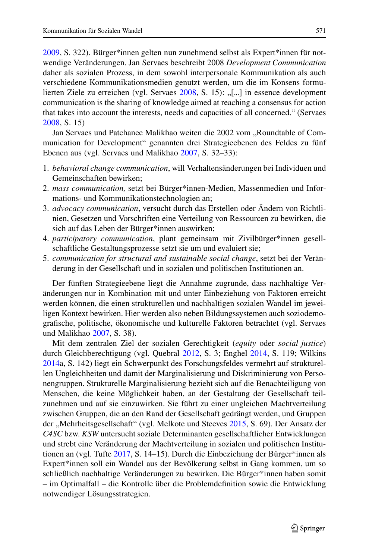[2009,](#page-21-0) S. 322). Bürger\*innen gelten nun zunehmend selbst als Expert\*innen für notwendige Veränderungen. Jan Servaes beschreibt 2008 *Development Communication* daher als sozialen Prozess, in dem sowohl interpersonale Kommunikation als auch verschiedene Kommunikationsmedien genutzt werden, um die im Konsens formu-lierten Ziele zu erreichen (vgl. Servaes [2008,](#page-22-8) S. 15): "[...] in essence development communication is the sharing of knowledge aimed at reaching a consensus for action that takes into account the interests, needs and capacities of all concerned." (Servaes [2008,](#page-22-8) S. 15)

Jan Servaes und Patchanee Malikhao weiten die 2002 vom "Roundtable of Communication for Development" genannten drei Strategieebenen des Feldes zu fünf Ebenen aus (vgl. Servaes und Malikhao [2007,](#page-22-7) S. 32–33):

- 1. *behavioral change communication*, will Verhaltensänderungen bei Individuen und Gemeinschaften bewirken;
- 2. *mass communication,* setzt bei Bürger\*innen-Medien, Massenmedien und Informations- und Kommunikationstechnologien an;
- 3. *advocacy communication*, versucht durch das Erstellen oder Ändern von Richtlinien, Gesetzen und Vorschriften eine Verteilung von Ressourcen zu bewirken, die sich auf das Leben der Bürger\*innen auswirken;
- 4. *participatory communication*, plant gemeinsam mit Zivilbürger\*innen gesellschaftliche Gestaltungsprozesse setzt sie um und evaluiert sie;
- 5. *communication for structural and sustainable social change*, setzt bei der Veränderung in der Gesellschaft und in sozialen und politischen Institutionen an.

Der fünften Strategieebene liegt die Annahme zugrunde, dass nachhaltige Veränderungen nur in Kombination mit und unter Einbeziehung von Faktoren erreicht werden können, die einen strukturellen und nachhaltigen sozialen Wandel im jeweiligen Kontext bewirken. Hier werden also neben Bildungssystemen auch soziodemografische, politische, ökonomische und kulturelle Faktoren betrachtet (vgl. Servaes und Malikhao [2007,](#page-22-7) S. 38).

Mit dem zentralen Ziel der sozialen Gerechtigkeit (*equity* oder *social justice*) durch Gleichberechtigung (vgl. Quebral [2012,](#page-22-4) S. 3; Enghel [2014,](#page-20-1) S. 119; Wilkins [2014a](#page-23-4), S. 142) liegt ein Schwerpunkt des Forschungsfeldes vermehrt auf strukturellen Ungleichheiten und damit der Marginalisierung und Diskriminierung von Personengruppen. Strukturelle Marginalisierung bezieht sich auf die Benachteiligung von Menschen, die keine Möglichkeit haben, an der Gestaltung der Gesellschaft teilzunehmen und auf sie einzuwirken. Sie führt zu einer ungleichen Machtverteilung zwischen Gruppen, die an den Rand der Gesellschaft gedrängt werden, und Gruppen der "Mehrheitsgesellschaft" (vgl. Melkote und Steeves [2015,](#page-21-1) S. 69). Der Ansatz der *C4SC* bzw. *KSW* untersucht soziale Determinanten gesellschaftlicher Entwicklungen und strebt eine Veränderung der Machtverteilung in sozialen und politischen Institutionen an (vgl. Tufte [2017,](#page-23-0) S. 14–15). Durch die Einbeziehung der Bürger\*innen als Expert\*innen soll ein Wandel aus der Bevölkerung selbst in Gang kommen, um so schließlich nachhaltige Veränderungen zu bewirken. Die Bürger\*innen haben somit – im Optimalfall – die Kontrolle über die Problemdefinition sowie die Entwicklung notwendiger Lösungsstrategien.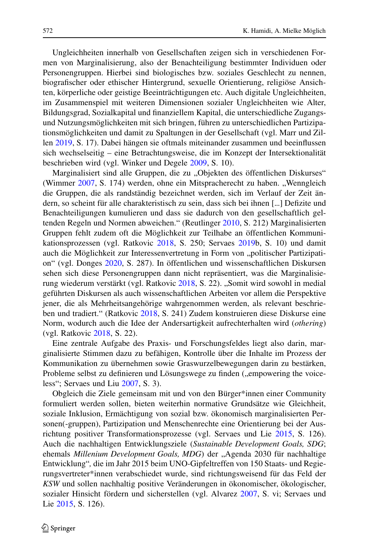Ungleichheiten innerhalb von Gesellschaften zeigen sich in verschiedenen Formen von Marginalisierung, also der Benachteiligung bestimmter Individuen oder Personengruppen. Hierbei sind biologisches bzw. soziales Geschlecht zu nennen, biografischer oder ethischer Hintergrund, sexuelle Orientierung, religiöse Ansichten, körperliche oder geistige Beeinträchtigungen etc. Auch digitale Ungleichheiten, im Zusammenspiel mit weiteren Dimensionen sozialer Ungleichheiten wie Alter, Bildungsgrad, Sozialkapital und finanziellem Kapital, die unterschiedliche Zugangsund Nutzungsmöglichkeiten mit sich bringen, führen zu unterschiedlichen Partizipationsmöglichkeiten und damit zu Spaltungen in der Gesellschaft (vgl. Marr und Zillen [2019,](#page-21-9) S. 17). Dabei hängen sie oftmals miteinander zusammen und beeinflussen sich wechselseitig – eine Betrachtungsweise, die im Konzept der Intersektionalität beschrieben wird (vgl. Winker und Degele [2009,](#page-23-5) S. 10).

Marginalisiert sind alle Gruppen, die zu "Objekten des öffentlichen Diskurses" (Wimmer [2007,](#page-23-6) S. 174) werden, ohne ein Mitspracherecht zu haben. "Wenngleich die Gruppen, die als randständig bezeichnet werden, sich im Verlauf der Zeit ändern, so scheint für alle charakteristisch zu sein, dass sich bei ihnen [...] Defizite und Benachteiligungen kumulieren und dass sie dadurch von den gesellschaftlich geltenden Regeln und Normen abweichen." (Reutlinger [2010,](#page-22-0) S. 212) Marginalisierten Gruppen fehlt zudem oft die Möglichkeit zur Teilhabe an öffentlichen Kommunikationsprozessen (vgl. Ratkovic [2018,](#page-22-1) S. 250; Servaes [2019b](#page-22-6), S. 10) und damit auch die Möglichkeit zur Interessenvertretung in Form von "politischer Partizipation" (vgl. Donges [2020,](#page-20-2) S. 287). In öffentlichen und wissenschaftlichen Diskursen sehen sich diese Personengruppen dann nicht repräsentiert, was die Marginalisie-rung wiederum verstärkt (vgl. Ratkovic [2018,](#page-22-1) S. 22). "Somit wird sowohl in medial geführten Diskursen als auch wissenschaftlichen Arbeiten vor allem die Perspektive jener, die als Mehrheitsangehörige wahrgenommen werden, als relevant beschrieben und tradiert." (Ratkovic [2018,](#page-22-1) S. 241) Zudem konstruieren diese Diskurse eine Norm, wodurch auch die Idee der Andersartigkeit aufrechterhalten wird (*othering*) (vgl. Ratkovic [2018,](#page-22-1) S. 22).

Eine zentrale Aufgabe des Praxis- und Forschungsfeldes liegt also darin, marginalisierte Stimmen dazu zu befähigen, Kontrolle über die Inhalte im Prozess der Kommunikation zu übernehmen sowie Graswurzelbewegungen darin zu bestärken, Probleme selbst zu definieren und Lösungswege zu finden ("empowering the voiceless"; Servaes und Liu [2007,](#page-22-9) S. 3).

Obgleich die Ziele gemeinsam mit und von den Bürger\*innen einer Community formuliert werden sollen, bieten weiterhin normative Grundsätze wie Gleichheit, soziale Inklusion, Ermächtigung von sozial bzw. ökonomisch marginalisierten Personen(-gruppen), Partizipation und Menschenrechte eine Orientierung bei der Ausrichtung positiver Transformationsprozesse (vgl. Servaes und Lie [2015,](#page-22-10) S. 126). Auch die nachhaltigen Entwicklungsziele (*Sustainable Development Goals, SDG*; ehemals *Millenium Development Goals, MDG*) der "Agenda 2030 für nachhaltige Entwicklung"*,* die im Jahr 2015 beim UNO-Gipfeltreffen von 150 Staats- und Regierungsvertreter\*innen verabschiedet wurde, sind richtungsweisend für das Feld der *KSW* und sollen nachhaltig positive Veränderungen in ökonomischer, ökologischer, sozialer Hinsicht fördern und sicherstellen (vgl. Alvarez [2007,](#page-20-3) S. vi; Servaes und Lie [2015,](#page-22-10) S. 126).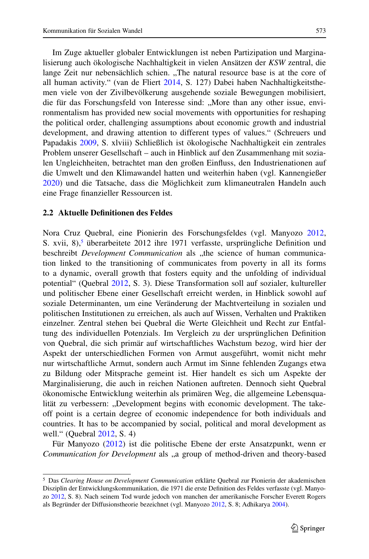Im Zuge aktueller globaler Entwicklungen ist neben Partizipation und Marginalisierung auch ökologische Nachhaltigkeit in vielen Ansätzen der *KSW* zentral, die lange Zeit nur nebensächlich schien. "The natural resource base is at the core of all human activity." (van de Fliert [2014,](#page-20-4) S. 127) Dabei haben Nachhaltigkeitsthemen viele von der Zivilbevölkerung ausgehende soziale Bewegungen mobilisiert, die für das Forschungsfeld von Interesse sind: "More than any other issue, environmentalism has provided new social movements with opportunities for reshaping the political order, challenging assumptions about economic growth and industrial development, and drawing attention to different types of values." (Schreuers und Papadakis [2009,](#page-22-11) S. xlviii) Schließlich ist ökologische Nachhaltigkeit ein zentrales Problem unserer Gesellschaft – auch in Hinblick auf den Zusammenhang mit sozialen Ungleichheiten, betrachtet man den großen Einfluss, den Industrienationen auf die Umwelt und den Klimawandel hatten und weiterhin haben (vgl. Kannengießer [2020\)](#page-21-10) und die Tatsache, dass die Möglichkeit zum klimaneutralen Handeln auch eine Frage finanzieller Ressourcen ist.

## **2.2 Aktuelle Definitionen des Feldes**

Nora Cruz Quebral, eine Pionierin des Forschungsfeldes (vgl. Manyozo [2012,](#page-21-8) S. xvii,  $8$ ),<sup>5</sup> überarbeitete 2012 ihre 1971 verfasste, ursprüngliche Definition und beschreibt *Development Communication* als "the science of human communication linked to the transitioning of communicates from poverty in all its forms to a dynamic, overall growth that fosters equity and the unfolding of individual potential" (Quebral [2012,](#page-22-4) S. 3). Diese Transformation soll auf sozialer, kultureller und politischer Ebene einer Gesellschaft erreicht werden, in Hinblick sowohl auf soziale Determinanten, um eine Veränderung der Machtverteilung in sozialen und politischen Institutionen zu erreichen, als auch auf Wissen, Verhalten und Praktiken einzelner. Zentral stehen bei Quebral die Werte Gleichheit und Recht zur Entfaltung des individuellen Potenzials. Im Vergleich zu der ursprünglichen Definition von Quebral, die sich primär auf wirtschaftliches Wachstum bezog, wird hier der Aspekt der unterschiedlichen Formen von Armut ausgeführt, womit nicht mehr nur wirtschaftliche Armut, sondern auch Armut im Sinne fehlenden Zugangs etwa zu Bildung oder Mitsprache gemeint ist. Hier handelt es sich um Aspekte der Marginalisierung, die auch in reichen Nationen auftreten. Dennoch sieht Quebral ökonomische Entwicklung weiterhin als primären Weg, die allgemeine Lebensqualität zu verbessern: "Development begins with economic development. The takeoff point is a certain degree of economic independence for both individuals and countries. It has to be accompanied by social, political and moral development as well." (Quebral [2012,](#page-22-4) S. 4)

Für Manyozo [\(2012\)](#page-21-8) ist die politische Ebene der erste Ansatzpunkt, wenn er *Communication for Development* als "a group of method-driven and theory-based

<span id="page-8-0"></span><sup>5</sup> Das *Clearing House on Development Communication* erklärte Quebral zur Pionierin der akademischen Disziplin der Entwicklungskommunikation, die 1971 die erste Definition des Feldes verfasste (vgl. Manyozo [2012,](#page-21-8) S. 8). Nach seinem Tod wurde jedoch von manchen der amerikanische Forscher Everett Rogers als Begründer der Diffusionstheorie bezeichnet (vgl. Manyozo [2012,](#page-21-8) S. 8; Adhikarya [2004\)](#page-20-5).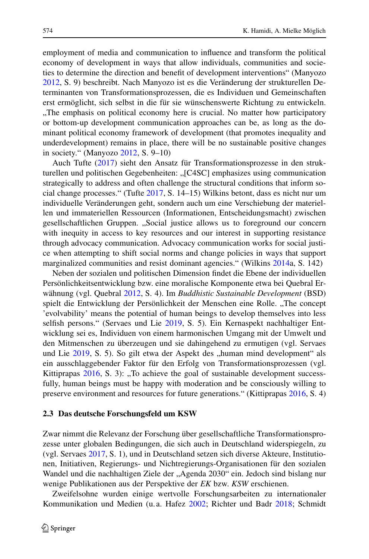employment of media and communication to influence and transform the political economy of development in ways that allow individuals, communities and societies to determine the direction and benefit of development interventions" (Manyozo [2012,](#page-21-8) S. 9) beschreibt. Nach Manyozo ist es die Veränderung der strukturellen Determinanten von Transformationsprozessen, die es Individuen und Gemeinschaften erst ermöglicht, sich selbst in die für sie wünschenswerte Richtung zu entwickeln. "The emphasis on political economy here is crucial. No matter how participatory or bottom-up development communication approaches can be, as long as the dominant political economy framework of development (that promotes inequality and underdevelopment) remains in place, there will be no sustainable positive changes in society." (Manyozo [2012,](#page-21-8) S. 9–10)

Auch Tufte [\(2017\)](#page-23-0) sieht den Ansatz für Transformationsprozesse in den strukturellen und politischen Gegebenheiten: "[C4SC] emphasizes using communication strategically to address and often challenge the structural conditions that inform social change processes." (Tufte [2017,](#page-23-0) S. 14–15) Wilkins betont, dass es nicht nur um individuelle Veränderungen geht, sondern auch um eine Verschiebung der materiellen und immateriellen Ressourcen (Informationen, Entscheidungsmacht) zwischen gesellschaftlichen Gruppen. "Social justice allows us to foreground our concern with inequity in access to key resources and our interest in supporting resistance through advocacy communication. Advocacy communication works for social justice when attempting to shift social norms and change policies in ways that support marginalized communities and resist dominant agencies." (Wilkins [2014a](#page-23-4), S. 142)

Neben der sozialen und politischen Dimension findet die Ebene der individuellen Persönlichkeitsentwicklung bzw. eine moralische Komponente etwa bei Quebral Erwähnung (vgl. Quebral [2012,](#page-22-4) S. 4). Im *Buddhistic Sustainable Development* (BSD) spielt die Entwicklung der Persönlichkeit der Menschen eine Rolle. "The concept 'evolvability' means the potential of human beings to develop themselves into less selfish persons." (Servaes und Lie [2019,](#page-22-12) S. 5). Ein Kernaspekt nachhaltiger Entwicklung sei es, Individuen von einem harmonischen Umgang mit der Umwelt und den Mitmenschen zu überzeugen und sie dahingehend zu ermutigen (vgl. Servaes und Lie [2019,](#page-22-12) S. 5). So gilt etwa der Aspekt des "human mind development" als ein ausschlaggebender Faktor für den Erfolg von Transformationsprozessen (vgl. Kittiprapas  $2016$ , S. 3): "To achieve the goal of sustainable development successfully, human beings must be happy with moderation and be consciously willing to preserve environment and resources for future generations." (Kittiprapas [2016,](#page-21-11) S. 4)

#### **2.3 Das deutsche Forschungsfeld um KSW**

Zwar nimmt die Relevanz der Forschung über gesellschaftliche Transformationsprozesse unter globalen Bedingungen, die sich auch in Deutschland widerspiegeln, zu (vgl. Servaes [2017,](#page-22-3) S. 1), und in Deutschland setzen sich diverse Akteure, Institutionen, Initiativen, Regierungs- und Nichtregierungs-Organisationen für den sozialen Wandel und die nachhaltigen Ziele der "Agenda 2030" ein. Jedoch sind bislang nur wenige Publikationen aus der Perspektive der *EK* bzw. *KSW* erschienen.

Zweifelsohne wurden einige wertvolle Forschungsarbeiten zu internationaler Kommunikation und Medien (u. a. Hafez [2002;](#page-21-12) Richter und Badr [2018;](#page-22-13) Schmidt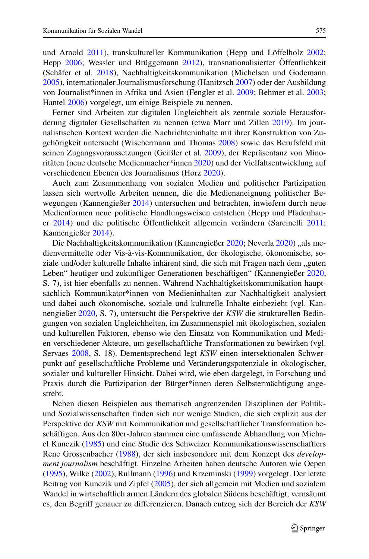und Arnold [2011\)](#page-22-14), transkultureller Kommunikation (Hepp und Löffelholz [2002;](#page-21-13) Hepp [2006;](#page-21-14) Wessler und Brüggemann [2012\)](#page-23-7), transnationalisierter Öffentlichkeit (Schäfer et al. [2018\)](#page-22-15), Nachhaltigkeitskommunikation (Michelsen und Godemann [2005\)](#page-21-15), internationaler Journalismusforschung (Hanitzsch [2007\)](#page-21-16) oder der Ausbildung von Journalist\*innen in Afrika und Asien (Fengler et al. [2009;](#page-20-6) Behmer et al. [2003;](#page-20-7) Hantel [2006\)](#page-21-17) vorgelegt, um einige Beispiele zu nennen.

Ferner sind Arbeiten zur digitalen Ungleichheit als zentrale soziale Herausforderung digitaler Gesellschaften zu nennen (etwa Marr und Zillen [2019\)](#page-21-9). Im journalistischen Kontext werden die Nachrichteninhalte mit ihrer Konstruktion von Zugehörigkeit untersucht (Wischermann und Thomas [2008\)](#page-23-8) sowie das Berufsfeld mit seinen Zugangsvoraussetzungen (Geißler et al. [2009\)](#page-20-8), der Repräsentanz von Minoritäten (neue deutsche Medienmacher\*innen [2020\)](#page-21-18) und der Vielfaltsentwicklung auf verschiedenen Ebenen des Journalismus (Horz [2020\)](#page-21-19).

Auch zum Zusammenhang von sozialen Medien und politischer Partizipation lassen sich wertvolle Arbeiten nennen, die die Medienaneignung politischer Bewegungen (Kannengießer [2014\)](#page-21-6) untersuchen und betrachten, inwiefern durch neue Medienformen neue politische Handlungsweisen entstehen (Hepp und Pfadenhauer [2014\)](#page-21-20) und die politische Öffentlichkeit allgemein verändern (Sarcinelli [2011;](#page-22-16) Kannengießer [2014\)](#page-21-6).

Die Nachhaltigkeitskommunikation (Kannengießer [2020;](#page-21-10) Neverla [2020\)](#page-21-21) "als medienvermittelte oder Vis-à-vis-Kommunikation, der ökologische, ökonomische, soziale und/oder kulturelle Inhalte inhärent sind, die sich mit Fragen nach dem "guten Leben" heutiger und zukünftiger Generationen beschäftigen" (Kannengießer [2020,](#page-21-10) S. 7), ist hier ebenfalls zu nennen. Während Nachhaltigkeitskommunikation hauptsächlich Kommunikator\*innen von Medieninhalten zur Nachhaltigkeit analysiert und dabei auch ökonomische, soziale und kulturelle Inhalte einbezieht (vgl. Kannengießer [2020,](#page-21-10) S. 7), untersucht die Perspektive der *KSW* die strukturellen Bedingungen von sozialen Ungleichheiten, im Zusammenspiel mit ökologischen, sozialen und kulturellen Faktoren, ebenso wie den Einsatz von Kommunikation und Medien verschiedener Akteure, um gesellschaftliche Transformationen zu bewirken (vgl. Servaes [2008,](#page-22-8) S. 18). Dementsprechend legt *KSW* einen intersektionalen Schwerpunkt auf gesellschaftliche Probleme und Veränderungspotenziale in ökologischer, sozialer und kultureller Hinsicht. Dabei wird, wie eben dargelegt, in Forschung und Praxis durch die Partizipation der Bürger\*innen deren Selbstermächtigung angestrebt.

Neben diesen Beispielen aus thematisch angrenzenden Disziplinen der Politikund Sozialwissenschaften finden sich nur wenige Studien, die sich explizit aus der Perspektive der *KSW* mit Kommunikation und gesellschaftlicher Transformation beschäftigen. Aus den 80er-Jahren stammen eine umfassende Abhandlung von Michael Kunczik [\(1985\)](#page-21-22) und eine Studie des Schweizer Kommunikationswissenschaftlers Rene Grossenbacher [\(1988\)](#page-20-9), der sich insbesondere mit dem Konzept des *development journalism* beschäftigt. Einzelne Arbeiten haben deutsche Autoren wie Oepen [\(1995\)](#page-22-17), Wilke [\(2002\)](#page-23-9), Rullmann [\(1996\)](#page-22-18) und Krzeminski [\(1999\)](#page-21-23) vorgelegt. Der letzte Beitrag von Kunczik und Zipfel [\(2005\)](#page-21-24), der sich allgemein mit Medien und sozialem Wandel in wirtschaftlich armen Ländern des globalen Südens beschäftigt, vernsäumt es, den Begriff genauer zu differenzieren. Danach entzog sich der Bereich der *KSW*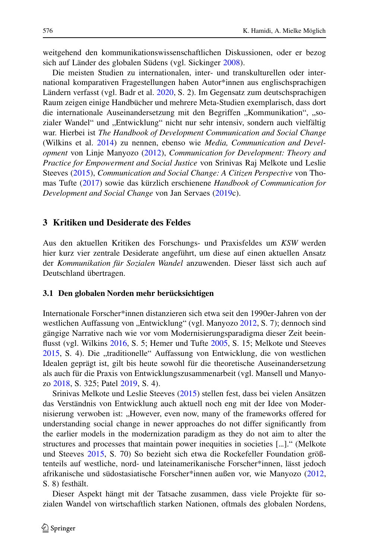weitgehend den kommunikationswissenschaftlichen Diskussionen, oder er bezog sich auf Länder des globalen Südens (vgl. Sickinger [2008\)](#page-22-19).

Die meisten Studien zu internationalen, inter- und transkulturellen oder international komparativen Fragestellungen haben Autor\*innen aus englischsprachigen Ländern verfasst (vgl. Badr et al. [2020,](#page-20-10) S. 2). Im Gegensatz zum deutschsprachigen Raum zeigen einige Handbücher und mehrere Meta-Studien exemplarisch, dass dort die internationale Auseinandersetzung mit den Begriffen "Kommunikation", "sozialer Wandel" und "Entwicklung" nicht nur sehr intensiv, sondern auch vielfältig war. Hierbei ist *The Handbook of Development Communication and Social Change* (Wilkins et al. [2014\)](#page-23-1) zu nennen, ebenso wie *Media, Communication and Development* von Linje Manyozo [\(2012\)](#page-21-8), *Communication for Development: Theory and Practice for Empowerment and Social Justice* von Srinivas Raj Melkote und Leslie Steeves [\(2015\)](#page-21-1), *Communication and Social Change: A Citizen Perspective* von Thomas Tufte [\(2017\)](#page-23-0) sowie das kürzlich erschienene *Handbook of Communication for Development and Social Change* von Jan Servaes [\(2019c](#page-22-20)).

### **3 Kritiken und Desiderate des Feldes**

Aus den aktuellen Kritiken des Forschungs- und Praxisfeldes um *KSW* werden hier kurz vier zentrale Desiderate angeführt, um diese auf einen aktuellen Ansatz der *Kommunikation für Sozialen Wandel* anzuwenden. Dieser lässt sich auch auf Deutschland übertragen.

#### **3.1 Den globalen Norden mehr berücksichtigen**

Internationale Forscher\*innen distanzieren sich etwa seit den 1990er-Jahren von der westlichen Auffassung von "Entwicklung" (vgl. Manyozo [2012,](#page-21-8) S. 7); dennoch sind gängige Narrative nach wie vor vom Modernisierungsparadigma dieser Zeit beeinflusst (vgl. Wilkins [2016,](#page-23-10) S. 5; Hemer und Tufte [2005,](#page-21-4) S. 15; Melkote und Steeves [2015,](#page-21-1) S. 4). Die "traditionelle" Auffassung von Entwicklung, die von westlichen Idealen geprägt ist, gilt bis heute sowohl für die theoretische Auseinandersetzung als auch für die Praxis von Entwicklungszusammenarbeit (vgl. Mansell und Manyozo [2018,](#page-21-5) S. 325; Patel [2019,](#page-22-5) S. 4).

Srinivas Melkote und Leslie Steeves [\(2015\)](#page-21-1) stellen fest, dass bei vielen Ansätzen das Verständnis von Entwicklung auch aktuell noch eng mit der Idee von Modernisierung verwoben ist: "However, even now, many of the frameworks offered for understanding social change in newer approaches do not differ significantly from the earlier models in the modernization paradigm as they do not aim to alter the structures and processes that maintain power inequities in societies [...]." (Melkote und Steeves [2015,](#page-21-1) S. 70) So bezieht sich etwa die Rockefeller Foundation größtenteils auf westliche, nord- und lateinamerikanische Forscher\*innen, lässt jedoch afrikanische und südostasiatische Forscher\*innen außen vor, wie Manyozo [\(2012,](#page-21-8) S. 8) festhält.

Dieser Aspekt hängt mit der Tatsache zusammen, dass viele Projekte für sozialen Wandel von wirtschaftlich starken Nationen, oftmals des globalen Nordens,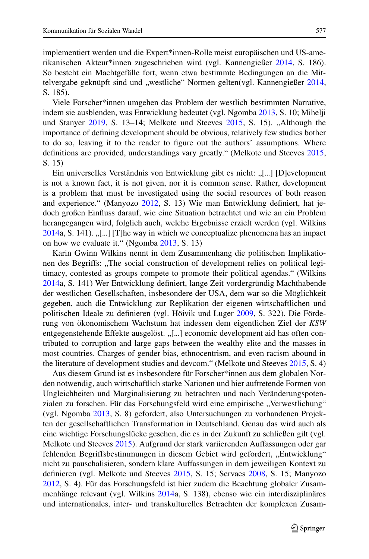implementiert werden und die Expert\*innen-Rolle meist europäischen und US-amerikanischen Akteur\*innen zugeschrieben wird (vgl. Kannengießer [2014,](#page-21-6) S. 186). So besteht ein Machtgefälle fort, wenn etwa bestimmte Bedingungen an die Mit-telvergabe geknüpft sind und "westliche" Normen gelten(vgl. Kannengießer [2014,](#page-21-6) S. 185).

Viele Forscher\*innen umgehen das Problem der westlich bestimmten Narrative, indem sie ausblenden, was Entwicklung bedeutet (vgl. Ngomba [2013,](#page-21-7) S. 10; Mihelji und Stanyer [2019,](#page-21-25) S. 13–14; Melkote und Steeves [2015,](#page-21-1) S. 15). "Although the importance of defining development should be obvious, relatively few studies bother to do so, leaving it to the reader to figure out the authors' assumptions. Where definitions are provided, understandings vary greatly." (Melkote und Steeves [2015,](#page-21-1) S. 15)

Ein universelles Verständnis von Entwicklung gibt es nicht: "[...] [D]evelopment is not a known fact, it is not given, nor it is common sense. Rather, development is a problem that must be investigated using the social resources of both reason and experience." (Manyozo [2012,](#page-21-8) S. 13) Wie man Entwicklung definiert, hat jedoch großen Einfluss darauf, wie eine Situation betrachtet und wie an ein Problem herangegangen wird, folglich auch, welche Ergebnisse erzielt werden (vgl. Wilkins  $2014a$ , S. 141).  $\lceil \cdot \rceil$ ...] [T]he way in which we conceptualize phenomena has an impact on how we evaluate it." (Ngomba [2013,](#page-21-7) S. 13)

Karin Gwinn Wilkins nennt in dem Zusammenhang die politischen Implikationen des Begriffs: "The social construction of development relies on political legitimacy, contested as groups compete to promote their political agendas." (Wilkins [2014a](#page-23-4), S. 141) Wer Entwicklung definiert, lange Zeit vordergründig Machthabende der westlichen Gesellschaften, insbesondere der USA, dem war so die Möglichkeit gegeben, auch die Entwicklung zur Replikation der eigenen wirtschaftlichen und politischen Ideale zu definieren (vgl. Höivik und Luger [2009,](#page-21-0) S. 322). Die Förderung von ökonomischem Wachstum hat indessen dem eigentlichen Ziel der *KSW* entgegenstehende Effekte ausgelöst. "[...] economic development aid has often contributed to corruption and large gaps between the wealthy elite and the masses in most countries. Charges of gender bias, ethnocentrism, and even racism abound in the literature of development studies and devcom." (Melkote und Steeves [2015,](#page-21-1) S. 4)

Aus diesem Grund ist es insbesondere für Forscher\*innen aus dem globalen Norden notwendig, auch wirtschaftlich starke Nationen und hier auftretende Formen von Ungleichheiten und Marginalisierung zu betrachten und nach Veränderungspotenzialen zu forschen. Für das Forschungsfeld wird eine empirische "Verwestlichung" (vgl. Ngomba [2013,](#page-21-7) S. 8) gefordert, also Untersuchungen zu vorhandenen Projekten der gesellschaftlichen Transformation in Deutschland. Genau das wird auch als eine wichtige Forschungslücke gesehen, die es in der Zukunft zu schließen gilt (vgl. Melkote und Steeves [2015\)](#page-21-1). Aufgrund der stark variierenden Auffassungen oder gar fehlenden Begriffsbestimmungen in diesem Gebiet wird gefordert, "Entwicklung" nicht zu pauschalisieren, sondern klare Auffassungen in dem jeweiligen Kontext zu definieren (vgl. Melkote und Steeves [2015,](#page-21-1) S. 15; Servaes [2008,](#page-22-8) S. 15; Manyozo [2012,](#page-21-8) S. 4). Für das Forschungsfeld ist hier zudem die Beachtung globaler Zusammenhänge relevant (vgl. Wilkins [2014a](#page-23-4), S. 138), ebenso wie ein interdisziplinäres und internationales, inter- und transkulturelles Betrachten der komplexen Zusam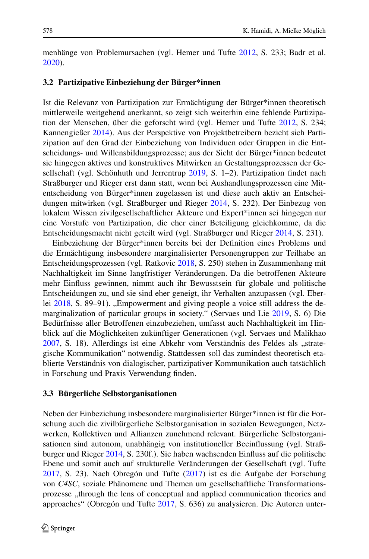menhänge von Problemursachen (vgl. Hemer und Tufte [2012,](#page-21-26) S. 233; Badr et al. [2020\)](#page-20-10).

#### **3.2 Partizipative Einbeziehung der Bürger\*innen**

Ist die Relevanz von Partizipation zur Ermächtigung der Bürger\*innen theoretisch mittlerweile weitgehend anerkannt, so zeigt sich weiterhin eine fehlende Partizipation der Menschen, über die geforscht wird (vgl. Hemer und Tufte [2012,](#page-21-26) S. 234; Kannengießer [2014\)](#page-21-6). Aus der Perspektive von Projektbetreibern bezieht sich Partizipation auf den Grad der Einbeziehung von Individuen oder Gruppen in die Entscheidungs- und Willensbildungsprozesse; aus der Sicht der Bürger\*innen bedeutet sie hingegen aktives und konstruktives Mitwirken an Gestaltungsprozessen der Gesellschaft (vgl. Schönhuth und Jerrentrup [2019,](#page-22-21) S. 1–2). Partizipation findet nach Straßburger und Rieger erst dann statt, wenn bei Aushandlungsprozessen eine Mitentscheidung von Bürger\*innen zugelassen ist und diese auch aktiv an Entscheidungen mitwirken (vgl. Straßburger und Rieger [2014,](#page-22-22) S. 232). Der Einbezug von lokalem Wissen zivilgesellschaftlicher Akteure und Expert\*innen sei hingegen nur eine Vorstufe von Partizipation, die eher einer Beteiligung gleichkomme, da die Entscheidungsmacht nicht geteilt wird (vgl. Straßburger und Rieger [2014,](#page-22-22) S. 231).

Einbeziehung der Bürger\*innen bereits bei der Definition eines Problems und die Ermächtigung insbesondere marginalisierter Personengruppen zur Teilhabe an Entscheidungsprozessen (vgl. Ratkovic [2018,](#page-22-1) S. 250) stehen in Zusammenhang mit Nachhaltigkeit im Sinne langfristiger Veränderungen. Da die betroffenen Akteure mehr Einfluss gewinnen, nimmt auch ihr Bewusstsein für globale und politische Entscheidungen zu, und sie sind eher geneigt, ihr Verhalten anzupassen (vgl. Eber-lei [2018,](#page-20-11) S. 89–91). "Empowerment and giving people a voice still address the demarginalization of particular groups in society." (Servaes und Lie [2019,](#page-22-12) S. 6) Die Bedürfnisse aller Betroffenen einzubeziehen, umfasst auch Nachhaltigkeit im Hinblick auf die Möglichkeiten zukünftiger Generationen (vgl. Servaes und Malikhao [2007,](#page-22-7) S. 18). Allerdings ist eine Abkehr vom Verständnis des Feldes als "strategische Kommunikation" notwendig. Stattdessen soll das zumindest theoretisch etablierte Verständnis von dialogischer, partizipativer Kommunikation auch tatsächlich in Forschung und Praxis Verwendung finden.

#### **3.3 Bürgerliche Selbstorganisationen**

Neben der Einbeziehung insbesondere marginalisierter Bürger\*innen ist für die Forschung auch die zivilbürgerliche Selbstorganisation in sozialen Bewegungen, Netzwerken, Kollektiven und Allianzen zunehmend relevant. Bürgerliche Selbstorganisationen sind autonom, unabhängig von institutioneller Beeinflussung (vgl. Straßburger und Rieger [2014,](#page-22-22) S. 230f.). Sie haben wachsenden Einfluss auf die politische Ebene und somit auch auf strukturelle Veränderungen der Gesellschaft (vgl. Tufte [2017,](#page-23-0) S. 23). Nach Obregón und Tufte [\(2017\)](#page-22-23) ist es die Aufgabe der Forschung von *C4SC*, soziale Phänomene und Themen um gesellschaftliche Transformationsprozesse ,,through the lens of conceptual and applied communication theories and approaches" (Obregón und Tufte [2017,](#page-22-23) S. 636) zu analysieren. Die Autoren unter-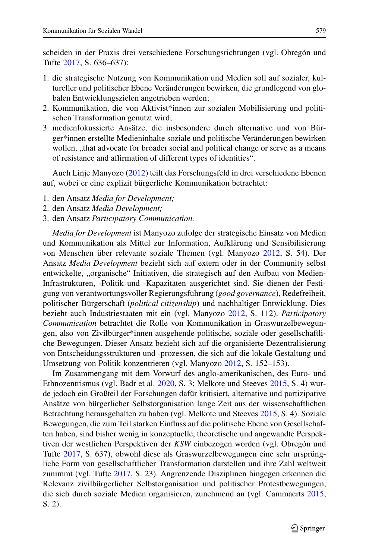scheiden in der Praxis drei verschiedene Forschungsrichtungen (vgl. Obregón und Tufte [2017,](#page-22-23) S. 636–637):

- 1. die strategische Nutzung von Kommunikation und Medien soll auf sozialer, kultureller und politischer Ebene Veränderungen bewirken, die grundlegend von globalen Entwicklungszielen angetrieben werden;
- 2. Kommunikation, die von Aktivist\*innen zur sozialen Mobilisierung und politischen Transformation genutzt wird;
- 3. medienfokussierte Ansätze, die insbesondere durch alternative und von Bürger\*innen erstellte Medieninhalte soziale und politische Veränderungen bewirken wollen, "that advocate for broader social and political change or serve as a means of resistance and affirmation of different types of identities".

Auch Linje Manyozo [\(2012\)](#page-21-8) teilt das Forschungsfeld in drei verschiedene Ebenen auf, wobei er eine explizit bürgerliche Kommunikation betrachtet:

- 1. den Ansatz *Media for Development;*
- 2. den Ansatz *Media Development;*
- 3. den Ansatz *Participatory Communication.*

*Media for Development* ist Manyozo zufolge der strategische Einsatz von Medien und Kommunikation als Mittel zur Information, Aufklärung und Sensibilisierung von Menschen über relevante soziale Themen (vgl. Manyozo [2012,](#page-21-8) S. 54). Der Ansatz *Media Development* bezieht sich auf extern oder in der Community selbst entwickelte, "organische" Initiativen, die strategisch auf den Aufbau von Medien-Infrastrukturen, -Politik und -Kapazitäten ausgerichtet sind. Sie dienen der Festigung von verantwortungsvoller Regierungsführung (*good governance*), Redefreiheit, politischer Bürgerschaft (*political citizenship*) und nachhaltiger Entwicklung. Dies bezieht auch Industriestaaten mit ein (vgl. Manyozo [2012,](#page-21-8) S. 112). *Participatory Communication* betrachtet die Rolle von Kommunikation in Graswurzelbewegungen, also von Zivilbürger\*innen ausgehende politische, soziale oder gesellschaftliche Bewegungen. Dieser Ansatz bezieht sich auf die organisierte Dezentralisierung von Entscheidungsstrukturen und -prozessen, die sich auf die lokale Gestaltung und Umsetzung von Politik konzentrieren (vgl. Manyozo [2012,](#page-21-8) S. 152–153).

Im Zusammengang mit dem Vorwurf des anglo-amerikanischen, des Euro- und Ethnozentrismus (vgl. Badr et al. [2020,](#page-20-10) S. 3; Melkote und Steeves [2015,](#page-21-1) S. 4) wurde jedoch ein Großteil der Forschungen dafür kritisiert, alternative und partizipative Ansätze von bürgerlicher Selbstorganisation lange Zeit aus der wissenschaftlichen Betrachtung herausgehalten zu haben (vgl. Melkote und Steeves [2015,](#page-21-1) S. 4). Soziale Bewegungen, die zum Teil starken Einfluss auf die politische Ebene von Gesellschaften haben, sind bisher wenig in konzeptuelle, theoretische und angewandte Perspektiven der westlichen Perspektiven der *KSW* einbezogen worden (vgl. Obregón und Tufte [2017,](#page-22-23) S. 637), obwohl diese als Graswurzelbewegungen eine sehr ursprüngliche Form von gesellschaftlicher Transformation darstellen und ihre Zahl weltweit zunimmt (vgl. Tufte [2017,](#page-23-0) S. 23). Angrenzende Disziplinen hingegen erkennen die Relevanz zivilbürgerlicher Selbstorganisation und politischer Protestbewegungen, die sich durch soziale Medien organisieren, zunehmend an (vgl. Cammaerts [2015,](#page-20-12) S. 2).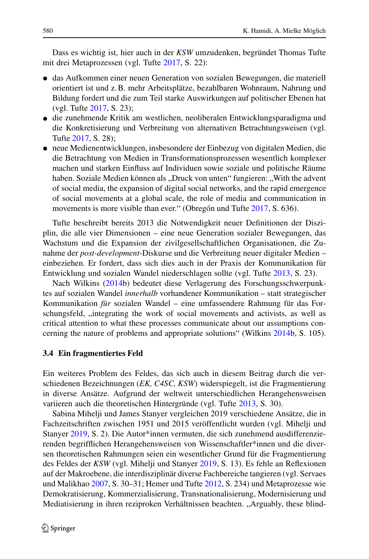Dass es wichtig ist, hier auch in der *KSW* umzudenken, begründet Thomas Tufte mit drei Metaprozessen (vgl. Tufte [2017,](#page-23-0) S. 22):

- das Aufkommen einer neuen Generation von sozialen Bewegungen, die materiell orientiert ist und z.B. mehr Arbeitsplätze, bezahlbaren Wohnraum, Nahrung und Bildung fordert und die zum Teil starke Auswirkungen auf politischer Ebenen hat (vgl. Tufte [2017,](#page-23-0) S. 23);
- die zunehmende Kritik am westlichen, neoliberalen Entwicklungsparadigma und die Konkretisierung und Verbreitung von alternativen Betrachtungsweisen (vgl. Tufte [2017,](#page-23-0) S. 28);
- neue Medienentwicklungen, insbesondere der Einbezug von digitalen Medien, die die Betrachtung von Medien in Transformationsprozessen wesentlich komplexer machen und starken Einfluss auf Individuen sowie soziale und politische Räume haben. Soziale Medien können als "Druck von unten" fungieren: "With the advent of social media, the expansion of digital social networks, and the rapid emergence of social movements at a global scale, the role of media and communication in movements is more visible than ever." (Obregón und Tufte [2017,](#page-22-23) S. 636).

Tufte beschreibt bereits 2013 die Notwendigkeit neuer Definitionen der Disziplin, die alle vier Dimensionen – eine neue Generation sozialer Bewegungen, das Wachstum und die Expansion der zivilgesellschaftlichen Organisationen, die Zunahme der *post-development*-Diskurse und die Verbreitung neuer digitaler Medien – einbeziehen. Er fordert, dass sich dies auch in der Praxis der Kommunikation für Entwicklung und sozialen Wandel niederschlagen sollte (vgl. Tufte [2013,](#page-23-11) S. 23).

Nach Wilkins [\(2014b](#page-23-12)) bedeutet diese Verlagerung des Forschungsschwerpunktes auf sozialen Wandel *innerhalb* vorhandener Kommunikation – statt strategischer Kommunikation *für* sozialen Wandel – eine umfassendere Rahmung für das Forschungsfeld, "integrating the work of social movements and activists, as well as critical attention to what these processes communicate about our assumptions concerning the nature of problems and appropriate solutions" (Wilkins [2014b](#page-23-12), S. 105).

#### **3.4 Ein fragmentiertes Feld**

Ein weiteres Problem des Feldes, das sich auch in diesem Beitrag durch die verschiedenen Bezeichnungen (*EK, C4SC, KSW*) widerspiegelt, ist die Fragmentierung in diverse Ansätze. Aufgrund der weltweit unterschiedlichen Herangehensweisen variieren auch die theoretischen Hintergründe (vgl. Tufte [2013,](#page-23-11) S. 30).

Sabina Mihelji und James Stanyer vergleichen 2019 verschiedene Ansätze, die in Fachzeitschriften zwischen 1951 und 2015 veröffentlicht wurden (vgl. Mihelji und Stanyer [2019,](#page-21-25) S. 2). Die Autor\*innen vermuten, die sich zunehmend ausdifferenzierenden begrifflichen Herangehensweisen von Wissenschaftler\*innen und die diversen theoretischen Rahmungen seien ein wesentlicher Grund für die Fragmentierung des Feldes der *KSW* (vgl. Mihelji und Stanyer [2019,](#page-21-25) S. 13). Es fehle an Reflexionen auf der Makroebene, die interdisziplinär diverse Fachbereiche tangieren (vgl. Servaes und Malikhao [2007,](#page-22-7) S. 30–31; Hemer und Tufte [2012,](#page-21-26) S. 234) und Metaprozesse wie Demokratisierung, Kommerzialisierung, Transnationalisierung, Modernisierung und Mediatisierung in ihren reziproken Verhältnissen beachten. "Arguably, these blind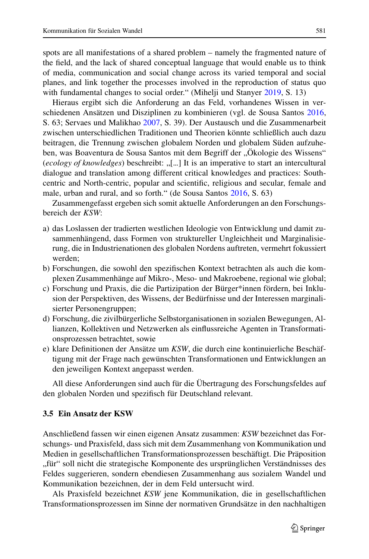spots are all manifestations of a shared problem – namely the fragmented nature of the field, and the lack of shared conceptual language that would enable us to think of media, communication and social change across its varied temporal and social planes, and link together the processes involved in the reproduction of status quo with fundamental changes to social order." (Mihelji und Stanyer [2019,](#page-21-25) S. 13)

Hieraus ergibt sich die Anforderung an das Feld, vorhandenes Wissen in verschiedenen Ansätzen und Disziplinen zu kombinieren (vgl. de Sousa Santos [2016,](#page-22-24) S. 63; Servaes und Malikhao [2007,](#page-22-7) S. 39). Der Austausch und die Zusammenarbeit zwischen unterschiedlichen Traditionen und Theorien könnte schließlich auch dazu beitragen, die Trennung zwischen globalem Norden und globalem Süden aufzuheben, was Boaventura de Sousa Santos mit dem Begriff der "Ökologie des Wissens" (*ecology of knowledges*) beschreibt: "[...] It is an imperative to start an intercultural dialogue and translation among different critical knowledges and practices: Southcentric and North-centric, popular and scientific, religious and secular, female and male, urban and rural, and so forth." (de Sousa Santos [2016,](#page-22-24) S. 63)

Zusammengefasst ergeben sich somit aktuelle Anforderungen an den Forschungsbereich der *KSW*:

- a) das Loslassen der tradierten westlichen Ideologie von Entwicklung und damit zusammenhängend, dass Formen von struktureller Ungleichheit und Marginalisierung, die in Industrienationen des globalen Nordens auftreten, vermehrt fokussiert werden;
- b) Forschungen, die sowohl den spezifischen Kontext betrachten als auch die komplexen Zusammenhänge auf Mikro-, Meso- und Makroebene, regional wie global;
- c) Forschung und Praxis, die die Partizipation der Bürger\*innen fördern, bei Inklusion der Perspektiven, des Wissens, der Bedürfnisse und der Interessen marginalisierter Personengruppen;
- d) Forschung, die zivilbürgerliche Selbstorganisationen in sozialen Bewegungen, Allianzen, Kollektiven und Netzwerken als einflussreiche Agenten in Transformationsprozessen betrachtet, sowie
- e) klare Definitionen der Ansätze um *KSW*, die durch eine kontinuierliche Beschäftigung mit der Frage nach gewünschten Transformationen und Entwicklungen an den jeweiligen Kontext angepasst werden.

All diese Anforderungen sind auch für die Übertragung des Forschungsfeldes auf den globalen Norden und spezifisch für Deutschland relevant.

#### **3.5 Ein Ansatz der KSW**

Anschließend fassen wir einen eigenen Ansatz zusammen: *KSW* bezeichnet das Forschungs- und Praxisfeld, dass sich mit dem Zusammenhang von Kommunikation und Medien in gesellschaftlichen Transformationsprozessen beschäftigt. Die Präposition "für" soll nicht die strategische Komponente des ursprünglichen Verständnisses des Feldes suggerieren, sondern ebendiesen Zusammenhang aus sozialem Wandel und Kommunikation bezeichnen, der in dem Feld untersucht wird.

Als Praxisfeld bezeichnet *KSW* jene Kommunikation, die in gesellschaftlichen Transformationsprozessen im Sinne der normativen Grundsätze in den nachhaltigen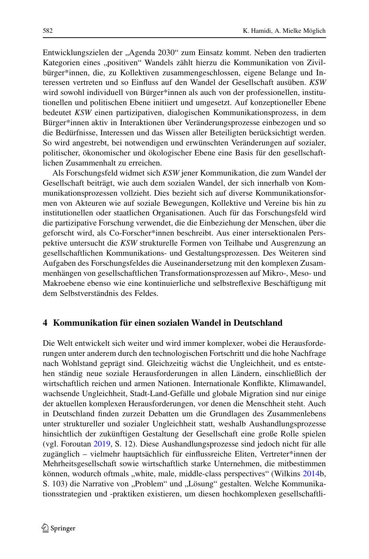Entwicklungszielen der "Agenda 2030" zum Einsatz kommt. Neben den tradierten Kategorien eines "positiven" Wandels zählt hierzu die Kommunikation von Zivilbürger\*innen, die, zu Kollektiven zusammengeschlossen, eigene Belange und Interessen vertreten und so Einfluss auf den Wandel der Gesellschaft ausüben. *KSW* wird sowohl individuell von Bürger\*innen als auch von der professionellen, institutionellen und politischen Ebene initiiert und umgesetzt. Auf konzeptioneller Ebene bedeutet *KSW* einen partizipativen, dialogischen Kommunikationsprozess, in dem Bürger\*innen aktiv in Interaktionen über Veränderungsprozesse einbezogen und so die Bedürfnisse, Interessen und das Wissen aller Beteiligten berücksichtigt werden. So wird angestrebt, bei notwendigen und erwünschten Veränderungen auf sozialer, politischer, ökonomischer und ökologischer Ebene eine Basis für den gesellschaftlichen Zusammenhalt zu erreichen.

Als Forschungsfeld widmet sich *KSW* jener Kommunikation, die zum Wandel der Gesellschaft beiträgt, wie auch dem sozialen Wandel, der sich innerhalb von Kommunikationsprozessen vollzieht. Dies bezieht sich auf diverse Kommunikationsformen von Akteuren wie auf soziale Bewegungen, Kollektive und Vereine bis hin zu institutionellen oder staatlichen Organisationen. Auch für das Forschungsfeld wird die partizipative Forschung verwendet, die die Einbeziehung der Menschen, über die geforscht wird, als Co-Forscher\*innen beschreibt. Aus einer intersektionalen Perspektive untersucht die *KSW* strukturelle Formen von Teilhabe und Ausgrenzung an gesellschaftlichen Kommunikations- und Gestaltungsprozessen. Des Weiteren sind Aufgaben des Forschungsfeldes die Auseinandersetzung mit den komplexen Zusammenhängen von gesellschaftlichen Transformationsprozessen auf Mikro-, Meso- und Makroebene ebenso wie eine kontinuierliche und selbstreflexive Beschäftigung mit dem Selbstverständnis des Feldes.

# **4 Kommunikation für einen sozialen Wandel in Deutschland**

Die Welt entwickelt sich weiter und wird immer komplexer, wobei die Herausforderungen unter anderem durch den technologischen Fortschritt und die hohe Nachfrage nach Wohlstand geprägt sind. Gleichzeitig wächst die Ungleichheit, und es entstehen ständig neue soziale Herausforderungen in allen Ländern, einschließlich der wirtschaftlich reichen und armen Nationen. Internationale Konflikte, Klimawandel, wachsende Ungleichheit, Stadt-Land-Gefälle und globale Migration sind nur einige der aktuellen komplexen Herausforderungen, vor denen die Menschheit steht. Auch in Deutschland finden zurzeit Debatten um die Grundlagen des Zusammenlebens unter struktureller und sozialer Ungleichheit statt, weshalb Aushandlungsprozesse hinsichtlich der zukünftigen Gestaltung der Gesellschaft eine große Rolle spielen (vgl. Foroutan [2019,](#page-20-13) S. 12). Diese Aushandlungsprozesse sind jedoch nicht für alle zugänglich – vielmehr hauptsächlich für einflussreiche Eliten, Vertreter\*innen der Mehrheitsgesellschaft sowie wirtschaftlich starke Unternehmen, die mitbestimmen können, wodurch oftmals "white, male, middle-class perspectives" (Wilkins [2014b](#page-23-12), S. 103) die Narrative von "Problem" und "Lösung" gestalten. Welche Kommunikationsstrategien und -praktiken existieren, um diesen hochkomplexen gesellschaftli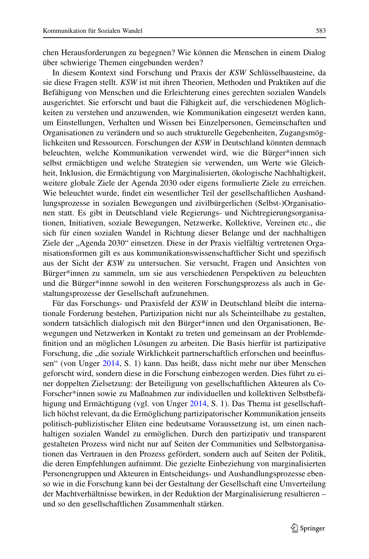chen Herausforderungen zu begegnen? Wie können die Menschen in einem Dialog über schwierige Themen eingebunden werden?

In diesem Kontext sind Forschung und Praxis der *KSW* Schlüsselbausteine, da sie diese Fragen stellt. *KSW* ist mit ihren Theorien, Methoden und Praktiken auf die Befähigung von Menschen und die Erleichterung eines gerechten sozialen Wandels ausgerichtet. Sie erforscht und baut die Fähigkeit auf, die verschiedenen Möglichkeiten zu verstehen und anzuwenden, wie Kommunikation eingesetzt werden kann, um Einstellungen, Verhalten und Wissen bei Einzelpersonen, Gemeinschaften und Organisationen zu verändern und so auch strukturelle Gegebenheiten, Zugangsmöglichkeiten und Ressourcen. Forschungen der *KSW* in Deutschland könnten demnach beleuchten, welche Kommunikation verwendet wird, wie die Bürger\*innen sich selbst ermächtigen und welche Strategien sie verwenden, um Werte wie Gleichheit, Inklusion, die Ermächtigung von Marginalisierten, ökologische Nachhaltigkeit, weitere globale Ziele der Agenda 2030 oder eigens formulierte Ziele zu erreichen. Wie beleuchtet wurde, findet ein wesentlicher Teil der gesellschaftlichen Aushandlungsprozesse in sozialen Bewegungen und zivilbürgerlichen (Selbst-)Organisationen statt. Es gibt in Deutschland viele Regierungs- und Nichtregierungsorganisationen, Initiativen, soziale Bewegungen, Netzwerke, Kollektive, Vereinen etc., die sich für einen sozialen Wandel in Richtung dieser Belange und der nachhaltigen Ziele der "Agenda 2030" einsetzen. Diese in der Praxis vielfältig vertretenen Organisationsformen gilt es aus kommunikationswissenschaftlicher Sicht und spezifisch aus der Sicht der *KSW* zu untersuchen. Sie versucht, Fragen und Ansichten von Bürger\*innen zu sammeln, um sie aus verschiedenen Perspektiven zu beleuchten und die Bürger\*innne sowohl in den weiteren Forschungsprozess als auch in Gestaltungsprozesse der Gesellschaft aufzunehmen.

Für das Forschungs- und Praxisfeld der *KSW* in Deutschland bleibt die internationale Forderung bestehen, Partizipation nicht nur als Scheinteilhabe zu gestalten, sondern tatsächlich dialogisch mit den Bürger\*innen und den Organisationen, Bewegungen und Netzwerken in Kontakt zu treten und gemeinsam an der Problemdefinition und an möglichen Lösungen zu arbeiten. Die Basis hierfür ist partizipative Forschung, die "die soziale Wirklichkeit partnerschaftlich erforschen und beeinflussen" (von Unger [2014,](#page-23-13) S. 1) kann. Das heißt, dass nicht mehr nur über Menschen geforscht wird, sondern diese in die Forschung einbezogen werden. Dies führt zu einer doppelten Zielsetzung: der Beteiligung von gesellschaftlichen Akteuren als Co-Forscher\*innen sowie zu Maßnahmen zur individuellen und kollektiven Selbstbefähigung und Ermächtigung (vgl. von Unger [2014,](#page-23-13) S. 1). Das Thema ist gesellschaftlich höchst relevant, da die Ermöglichung partizipatorischer Kommunikation jenseits politisch-publizistischer Eliten eine bedeutsame Voraussetzung ist, um einen nachhaltigen sozialen Wandel zu ermöglichen. Durch den partizipativ und transparent gestalteten Prozess wird nicht nur auf Seiten der Communities und Selbstorganisationen das Vertrauen in den Prozess gefördert, sondern auch auf Seiten der Politik, die deren Empfehlungen aufnimmt. Die gezielte Einbeziehung von marginalisierten Personengruppen und Akteuren in Entscheidungs- und Aushandlungsprozesse ebenso wie in die Forschung kann bei der Gestaltung der Gesellschaft eine Umverteilung der Machtverhältnisse bewirken, in der Reduktion der Marginalisierung resultieren – und so den gesellschaftlichen Zusammenhalt stärken.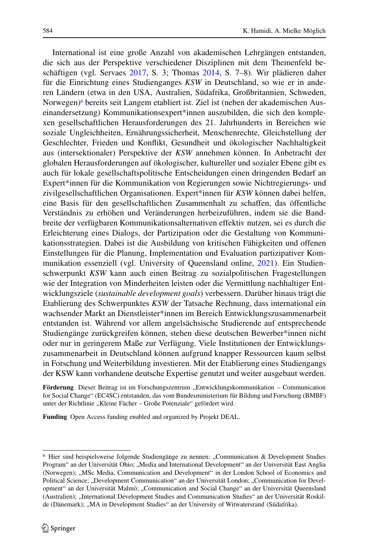International ist eine große Anzahl von akademischen Lehrgängen entstanden, die sich aus der Perspektive verschiedener Disziplinen mit dem Themenfeld beschäftigen (vgl. Servaes [2017,](#page-22-3) S. 3; Thomas [2014,](#page-22-25) S. 7–8). Wir plädieren daher für die Einrichtung eines Studienganges *KSW* in Deutschland, so wie er in anderen Ländern (etwa in den USA, Australien, Südafrika, Großbritannien, Schweden, Norwegen[\)6](#page-19-0) bereits seit Langem etabliert ist. Ziel ist (neben der akademischen Auseinandersetzung) Kommunikationsexpert\*innen auszubilden, die sich den komplexen gesellschaftlichen Herausforderungen des 21. Jahrhunderts in Bereichen wie soziale Ungleichheiten, Ernährungssicherheit, Menschenrechte, Gleichstellung der Geschlechter, Frieden und Konflikt, Gesundheit und ökologischer Nachhaltigkeit aus (intersektionaler) Perspektive der *KSW* annehmen können. In Anbetracht der globalen Herausforderungen auf ökologischer, kultureller und sozialer Ebene gibt es auch für lokale gesellschaftspolitische Entscheidungen einen dringenden Bedarf an Expert\*innen für die Kommunikation von Regierungen sowie Nichtregierungs- und zivilgesellschaftlichen Organisationen. Expert\*innen für *KSW* können dabei helfen, eine Basis für den gesellschaftlichen Zusammenhalt zu schaffen, das öffentliche Verständnis zu erhöhen und Veränderungen herbeizuführen, indem sie die Bandbreite der verfügbaren Kommunikationsalternativen effektiv nutzen, sei es durch die Erleichterung eines Dialogs, der Partizipation oder die Gestaltung von Kommunikationsstrategien. Dabei ist die Ausbildung von kritischen Fähigkeiten und offenen Einstellungen für die Planung, Implementation und Evaluation partizipativer Kommunikation essenziell (vgl. University of Queensland online, [2021\)](#page-23-14). Ein Studienschwerpunkt *KSW* kann auch einen Beitrag zu sozialpolitischen Fragestellungen wie der Integration von Minderheiten leisten oder die Vermittlung nachhaltiger Entwicklungsziele (*sustainable development goals*) verbessern. Darüber hinaus trägt die Etablierung des Schwerpunktes *KSW* der Tatsache Rechnung, dass international ein wachsender Markt an Dienstleister\*innen im Bereich Entwicklungszusammenarbeit entstanden ist. Während vor allem angelsächsische Studierende auf entsprechende Studiengänge zurückgreifen können, stehen diese deutschen Bewerber\*innen nicht oder nur in geringerem Maße zur Verfügung. Viele Institutionen der Entwicklungszusammenarbeit in Deutschland können aufgrund knapper Ressourcen kaum selbst in Forschung und Weiterbildung investieren. Mit der Etablierung eines Studiengangs der KSW kann vorhandene deutsche Expertise genutzt und weiter ausgebaut werden.

Förderung Dieser Beitrag ist im Forschungszentrum "Entwicklungskommunikation - Communication for Social Change" (EC4SC) entstanden, das vom Bundesministerium für Bildung und Forschung (BMBF) unter der Richtlinie "Kleine Fächer – Große Potenziale" gefördert wird.

**Funding** Open Access funding enabled and organized by Projekt DEAL.

<span id="page-19-0"></span><sup>&</sup>lt;sup>6</sup> Hier sind beispielsweise folgende Studiengänge zu nennen: "Communication & Development Studies Program" an der Universität Ohio; "Media and International Development" an der Universität East Anglia (Norwegen); "MSc Media, Communication and Development" in der London School of Economics and Political Science; "Development Communication" an der Universität London; "Communication for Development" an der Universität Malmö; "Communication and Social Change" an der Universität Queensland (Australien); "International Development Studies and Communication Studies" an der Universität Roskilde (Dänemark); "MA in Development Studies" an der University of Witwatersrand (Südafrika).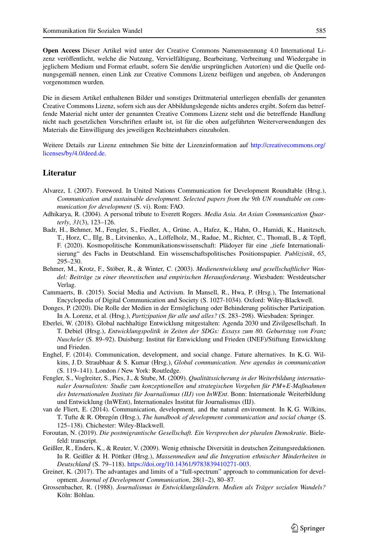**Open Access** Dieser Artikel wird unter der Creative Commons Namensnennung 4.0 International Lizenz veröffentlicht, welche die Nutzung, Vervielfältigung, Bearbeitung, Verbreitung und Wiedergabe in jeglichem Medium und Format erlaubt, sofern Sie den/die ursprünglichen Autor(en) und die Quelle ordnungsgemäß nennen, einen Link zur Creative Commons Lizenz beifügen und angeben, ob Änderungen vorgenommen wurden.

Die in diesem Artikel enthaltenen Bilder und sonstiges Drittmaterial unterliegen ebenfalls der genannten Creative Commons Lizenz, sofern sich aus der Abbildungslegende nichts anderes ergibt. Sofern das betreffende Material nicht unter der genannten Creative Commons Lizenz steht und die betreffende Handlung nicht nach gesetzlichen Vorschriften erlaubt ist, ist für die oben aufgeführten Weiterverwendungen des Materials die Einwilligung des jeweiligen Rechteinhabers einzuholen.

Weitere Details zur Lizenz entnehmen Sie bitte der Lizenzinformation auf [http://creativecommons.org/](http://creativecommons.org/licenses/by/4.0/deed.de) [licenses/by/4.0/deed.de.](http://creativecommons.org/licenses/by/4.0/deed.de)

#### **Literatur**

- <span id="page-20-3"></span>Alvarez, I. (2007). Foreword. In United Nations Communication for Development Roundtable (Hrsg.), *Communication and sustainable development. Selected papers from the 9th UN roundtable on communication for development* (S. vi). Rom: FAO.
- <span id="page-20-5"></span>Adhikarya, R. (2004). A personal tribute to Everett Rogers. *Media Asia. An Asian Communication Quarterly*, *31*(3), 123–126.
- <span id="page-20-10"></span>Badr, H., Behmer, M., Fengler, S., Fiedler, A., Grüne, A., Hafez, K., Hahn, O., Hamidi, K., Hanitzsch, T., Horz, C., Illg, B., Litvinenko, A., Löffelholz, M., Radue, M., Richter, C., Thomaß, B., & Töpfl, F. (2020). Kosmopolitische Kommunikationswissenschaft: Plädoyer für eine "tiefe Internationalisierung" des Fachs in Deutschland. Ein wissenschaftspolitisches Positionspapier. *Publizistik*, *65*, 295–230.
- <span id="page-20-7"></span>Behmer, M., Krotz, F., Stöber, R., & Winter, C. (2003). *Medienentwicklung und gesellschaftlicher Wandel: Beiträge zu einer theoretischen und empirischen Herausforderung*. Wiesbaden: Westdeutscher Verlag.
- <span id="page-20-12"></span><span id="page-20-2"></span>Cammaerts, B. (2015). Social Media and Activism. In Mansell, R., Hwa, P. (Hrsg.), The International Encyclopedia of Digital Communication and Society (S. 1027-1034). Oxford: Wiley-Blackwell.
- Donges, P. (2020). Die Rolle der Medien in der Ermöglichung oder Behinderung politischer Partizipation. In A. Lorenz, et al. (Hrsg.), *Partizipation für alle und alles?* (S. 283–298). Wiesbaden: Springer.
- <span id="page-20-11"></span>Eberlei, W. (2018). Global nachhaltige Entwicklung mitgestalten: Agenda 2030 und Zivilgesellschaft. In T. Debiel (Hrsg.), *Entwicklungspolitik in Zeiten der SDGs: Essays zum 80. Geburtstag von Franz Nuscheler* (S. 89–92). Duisburg: Institut für Entwicklung und Frieden (INEF)/Stiftung Entwicklung und Frieden.
- <span id="page-20-1"></span>Enghel, F. (2014). Communication, development, and social change. Future alternatives. In K. G. Wilkins, J. D. Straubhaar & S. Kumar (Hrsg.), *Global communication. New agendas in communication* (S. 119–141). London / New York: Routledge.
- <span id="page-20-6"></span>Fengler, S., Voglreiter, S., Pies, J., & Stube, M. (2009). *Qualitätssicherung in der Weiterbildung internationaler Journalisten: Studie zum konzeptionellen und strategischen Vorgehen für PM+E-Maßnahmen des Internationalen Instituts für Journalismus (IIJ) von InWEnt*. Bonn: Internationale Weiterbildung und Entwicklung (InWEnt), Internationales Institut für Journalismus (IIJ).
- <span id="page-20-4"></span>van de Fliert, E. (2014). Communication, development, and the natural environment. In K. G. Wilkins, T. Tufte & R. Obregón (Hrsg.), *The handbook of development communication and social change* (S. 125–138). Chichester: Wiley-Blackwell.
- <span id="page-20-13"></span>Foroutan, N. (2019). *Die postmigrantische Gesellschaft. Ein Versprechen der pluralen Demokratie*. Bielefeld: transcript.
- <span id="page-20-8"></span>Geißler, R., Enders, K., & Reuter, V. (2009). Wenig ethnische Diversität in deutschen Zeitungsredaktionen. In R. Geißler & H. Pöttker (Hrsg.), *Massenmedien und die Integration ethnischer Minderheiten in Deutschland* (S. 79–118). [https://doi.org/10.14361/9783839410271-003.](https://doi.org/10.14361/9783839410271-003)
- <span id="page-20-0"></span>Greiner, K. (2017). The advantages and limits of a "full-spectrum" approach to communication for development. *Journal of Development Communication*, 28(1–2), 80–87.
- <span id="page-20-9"></span>Grossenbacher, R. (1988). *Journalismus in Entwicklungsländern. Medien als Träger sozialen Wandels?* Köln: Böhlau.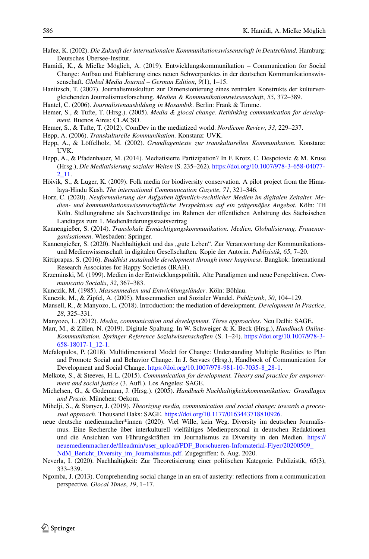- <span id="page-21-12"></span><span id="page-21-3"></span>Hafez, K. (2002). *Die Zukunft der internationalen Kommunikationswissenschaft in Deutschland*. Hamburg: Deutsches Übersee-Institut.
- Hamidi, K., & Mielke Möglich, A. (2019). Entwicklungskommunikation Communication for Social Change: Aufbau und Etablierung eines neuen Schwerpunktes in der deutschen Kommunikationswissenschaft. *Global Media Journal – German Edition*, *9*(1), 1–15.
- <span id="page-21-16"></span>Hanitzsch, T. (2007). Journalismuskultur: zur Dimensionierung eines zentralen Konstrukts der kulturvergleichenden Journalismusforschung. *Medien & Kommunikationswissenschaft*, *55*, 372–389.
- <span id="page-21-17"></span><span id="page-21-4"></span>Hantel, C. (2006). *Journalistenausbildung in Mosambik*. Berlin: Frank & Timme.
- <span id="page-21-26"></span>Hemer, S., & Tufte, T. (Hrsg.). (2005). *Media & glocal change. Rethinking communication for development*. Buenos Aires: CLACSO.
- <span id="page-21-14"></span>Hemer, S., & Tufte, T. (2012). ComDev in the mediatized world. *Nordicom Review*, *33*, 229–237.
- <span id="page-21-13"></span>Hepp, A. (2006). *Transkulturelle Kommunikation*. Konstanz: UVK.
- <span id="page-21-20"></span>Hepp, A., & Löffelholz, M. (2002). *Grundlagentexte zur transkulturellen Kommunikation*. Konstanz: **IIVK.**
- Hepp, A., & Pfadenhauer, M. (2014). Mediatisierte Partizipation? In F. Krotz, C. Despotovic & M. Kruse (Hrsg.), *Die Mediatisierung sozialer Welten* (S. 235–262). [https://doi.org/10.1007/978-3-658-04077-](https://doi.org/10.1007/978-3-658-04077-2_11) [2\\_11.](https://doi.org/10.1007/978-3-658-04077-2_11)
- <span id="page-21-19"></span><span id="page-21-0"></span>Höivik, S., & Luger, K. (2009). Folk media for biodiversity conservation. A pilot project from the Himalaya-Hindu Kush. *The international Communication Gazette*, *71*, 321–346.
- Horz, C. (2020). *Neuformulierung der Aufgaben öffentlich-rechtlicher Medien im digitalen Zeitalter. Medien- und kommunikationswissenschaftliche Perspektiven auf ein zeitgemäßes Angebot*. Köln: TH Köln. Stellungnahme als Sachverständige im Rahmen der öffentlichen Anhörung des Sächsischen Landtages zum 1. Medienänderungsstaatsvertrag
- <span id="page-21-10"></span><span id="page-21-6"></span>Kannengießer, S. (2014). *Translokale Ermächtigungskommunikation. Medien, Globalisierung, Frauenorganisationen*. Wiesbaden: Springer.
- Kannengießer, S. (2020). Nachhaltigkeit und das "gute Leben". Zur Verantwortung der Kommunikationsund Medienwissenschaft in digitalen Gesellschaften. Kopie der Autorin. *Publizistik*, *65*, 7–20.
- <span id="page-21-23"></span><span id="page-21-11"></span>Kittiprapas, S. (2016). *Buddhist sustainable development through inner happiness*. Bangkok: International Research Associates for Happy Societies (IRAH).
- <span id="page-21-22"></span>Krzeminski, M. (1999). Medien in der Entwicklungspolitik. Alte Paradigmen und neue Perspektiven. *Communicatio Socialis*, *32*, 367–383.
- <span id="page-21-24"></span>Kunczik, M. (1985). *Massenmedien und Entwicklungsländer*. Köln: Böhlau.
- <span id="page-21-5"></span>Kunczik, M., & Zipfel, A. (2005). Massenmedien und Sozialer Wandel. *Publizistik*, *50*, 104–129.
- Mansell, R., & Manyozo, L. (2018). Introduction: the mediation of development. *Development in Practice*, *28*, 325–331.
- <span id="page-21-9"></span><span id="page-21-8"></span>Manyozo, L. (2012). *Media, communication and development. Three approaches*. Neu Delhi: SAGE.
- Marr, M., & Zillen, N. (2019). Digitale Spaltung. In W. Schweiger & K. Beck (Hrsg.), *Handbuch Online-Kommunikation. Springer Reference Sozialwissenschaften* (S. 1–24). [https://doi.org/10.1007/978-3-](https://doi.org/10.1007/978-3-658-18017-1_12-1) [658-18017-1\\_12-1.](https://doi.org/10.1007/978-3-658-18017-1_12-1)
- <span id="page-21-2"></span>Mefalopulos, P. (2018). Multidimensional Model for Change: Understanding Multiple Realities to Plan and Promote Social and Behavior Change. In J. Servaes (Hrsg.), Handbook of Communication for Development and Social Change. [https://doi.org/10.1007/978-981-10-7035-8\\_28-1.](https://doi.org/10.1007/978-981-10-7035-8_28-1)
- <span id="page-21-1"></span>Melkote, S., & Steeves, H. L. (2015). *Communication for development. Theory and practice for empowerment and social justice* (3. Aufl.). Los Angeles: SAGE.
- <span id="page-21-15"></span>Michelsen, G., & Godemann, J. (Hrsg.). (2005). *Handbuch Nachhaltigkeitskommunikation: Grundlagen und Praxis*. München: Oekom.
- <span id="page-21-25"></span>Mihelji, S., & Stanyer, J. (2019). *Theorizing media, communication and social change: towards a processual approach*. Thousand Oaks: SAGE. [https://doi.org/10.1177/0163443718810926.](https://doi.org/10.1177/0163443718810926)
- <span id="page-21-18"></span>neue deutsche medienmacher\*innen (2020). Viel Wille, kein Weg. Diversity im deutschen Journalismus. Eine Recherche über interkulturell vielfältiges Medienpersonal in deutschen Redaktionen und die Ansichten von Führungskräften im Journalismus zu Diversity in den Medien. [https://](https://neuemedienmacher.de/fileadmin/user_upload/PDF_Borschueren-Infomaterial-Flyer/20200509_NdM_Bericht_Diversity_im_Journalismus.pdf) [neuemedienmacher.de/fileadmin/user\\_upload/PDF\\_Borschueren-Infomaterial-Flyer/20200509\\_](https://neuemedienmacher.de/fileadmin/user_upload/PDF_Borschueren-Infomaterial-Flyer/20200509_NdM_Bericht_Diversity_im_Journalismus.pdf) [NdM\\_Bericht\\_Diversity\\_im\\_Journalismus.pdf.](https://neuemedienmacher.de/fileadmin/user_upload/PDF_Borschueren-Infomaterial-Flyer/20200509_NdM_Bericht_Diversity_im_Journalismus.pdf) Zugegriffen: 6. Aug. 2020.
- <span id="page-21-21"></span>Neverla, I. (2020). Nachhaltigkeit: Zur Theoretisierung einer politischen Kategorie. Publizistik, 65(3), 333–339.
- <span id="page-21-7"></span>Ngomba, J. (2013). Comprehending social change in an era of austerity: reflections from a communication perspective. *Glocal Times*, *19*, 1–17.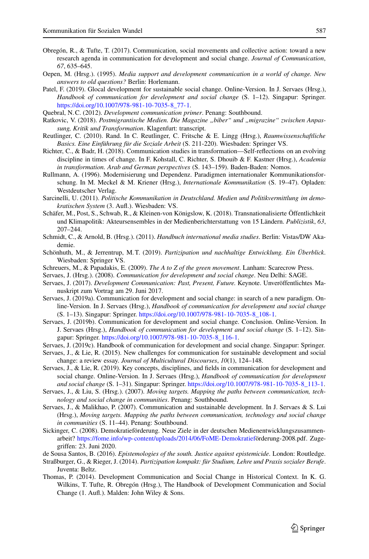- <span id="page-22-23"></span>Obregón, R., & Tufte, T. (2017). Communication, social movements and collective action: toward a new research agenda in communication for development and social change. *Journal of Communication*, *67*, 635–645.
- <span id="page-22-17"></span><span id="page-22-5"></span>Oepen, M. (Hrsg.). (1995). *Media support and development communication in a world of change. New answers to old questions?* Berlin: Horlemann.
- Patel, F. (2019). Glocal development for sustainable social change. Online-Version. In J. Servaes (Hrsg.), *Handbook of communication for development and social change* (S. 1–12). Singapur: Springer. [https://doi.org/10.1007/978-981-10-7035-8\\_77-1.](https://doi.org/10.1007/978-981-10-7035-8_77-1)

<span id="page-22-4"></span><span id="page-22-1"></span>Quebral, N.C. (2012). *Development communication primer*. Penang: Southbound.

- <span id="page-22-0"></span>Ratkovic, V. (2018). Postmigrantische Medien. Die Magazine "biber" und "migrazine" zwischen Anpas*sung, Kritik und Transformation*. Klagenfurt: transcript.
- <span id="page-22-13"></span>Reutlinger, C. (2010). Rand. In C. Reutlinger, C. Fritsche & E. Lingg (Hrsg.), *Raumwissenschaftliche Basics. Eine Einführung für die Soziale Arbeit* (S. 211-220). Wiesbaden: Springer VS.
- Richter, C., & Badr, H. (2018). Communication studies in transformation—Self-reflections on an evolving discipline in times of change. In F. Kohstall, C. Richter, S. Dhouib & F. Kastner (Hrsg.), *Academia in transformation. Arab and German perspectives* (S. 143–159). Baden-Baden: Nomos.
- <span id="page-22-18"></span>Rullmann, A. (1996). Modernisierung und Dependenz. Paradigmen internationaler Kommunikationsforschung. In M. Meckel & M. Kriener (Hrsg.), *Internationale Kommunikation* (S. 19–47). Opladen: Westdeutscher Verlag.
- <span id="page-22-16"></span><span id="page-22-15"></span>Sarcinelli, U. (2011). *Politische Kommunikation in Deutschland. Medien und Politikvermittlung im demokratischen System* (3. Aufl.). Wiesbaden: VS.
- Schäfer, M., Post, S., Schwab, R., & Kleinen-von Königslow, K. (2018). Transnationalisierte Öffentlichkeit und Klimapolitik: Akteursensembles in der Medienberichterstattung von 15 Ländern. *Publizistik*, *63*, 207–244.
- <span id="page-22-14"></span>Schmidt, C., & Arnold, B. (Hrsg.). (2011). *Handbuch international media studies*. Berlin: Vistas/DW Akademie.
- <span id="page-22-21"></span>Schönhuth, M., & Jerrentrup, M. T. (2019). *Partizipation und nachhaltige Entwicklung. Ein Überblick*. Wiesbaden: Springer VS.
- <span id="page-22-11"></span><span id="page-22-8"></span>Schreuers, M., & Papadakis, E. (2009). *The A to Z of the green movement*. Lanham: Scarecrow Press.
- <span id="page-22-3"></span>Servaes, J. (Hrsg.). (2008). *Communication for development and social change*. Neu Delhi: SAGE.
- Servaes, J. (2017). *Development Communication: Past, Present, Future.* Keynote. Unveröffentlichtes Manuskript zum Vortrag am 29. Juni 2017.
- <span id="page-22-2"></span>Servaes, J. (2019a). Communication for development and social change: in search of a new paradigm. Online-Version. In J. Servaes (Hrsg.), *Handbook of communication for development and social change* (S. 1–13). Singapur: Springer. [https://doi.org/10.1007/978-981-10-7035-8\\_108-1.](https://doi.org/10.1007/978-981-10-7035-8_108-1)
- <span id="page-22-6"></span>Servaes, J. (2019b). Communication for development and social change. Conclusion. Online-Version. In J. Servaes (Hrsg.), *Handbook of communication for development and social change* (S. 1–12). Singapur: Springer. [https://doi.org/10.1007/978-981-10-7035-8\\_116-1.](https://doi.org/10.1007/978-981-10-7035-8_116-1)
- <span id="page-22-20"></span><span id="page-22-10"></span>Servaes, J. (2019c). Handbook of communication for development and social change. Singapur: Springer.
- <span id="page-22-12"></span>Servaes, J., & Lie, R. (2015). New challenges for communication for sustainable development and social change: a review essay. *Journal of Multicultural Discourses*, *10*(1), 124–148.
- Servaes, J., & Lie, R. (2019). Key concepts, disciplines, and fields in communication for development and social change. Online-Version. In J. Servaes (Hrsg.), *Handbook of communication for development and social change* (S. 1–31). Singapur: Springer. [https://doi.org/10.1007/978-981-10-7035-8\\_113-1.](https://doi.org/10.1007/978-981-10-7035-8_113-1)
- <span id="page-22-9"></span><span id="page-22-7"></span>Servaes, J., & Liu, S. (Hrsg.). (2007). *Moving targets. Mapping the paths between communication, technology and social change in communities*. Penang: Southbound.
- Servaes, J., & Malikhao, P. (2007). Communication and sustainable development. In J. Servaes & S. Lui (Hrsg.), *Moving targets. Mapping the paths between communication, technology and social change in communities* (S. 11–44). Penang: Southbound.
- <span id="page-22-19"></span>Sickinger, C. (2008). Demokratieförderung. Neue Ziele in der deutschen Medienentwicklungszusammenarbeit? [https://fome.info/wp-content/uploads/2014/06/FoME-Demokratiefö](https://fome.info/wp-content/uploads/2014/06/FoME-Demokratief)rderung-2008.pdf. Zugegriffen: 23. Juni 2020.
- <span id="page-22-24"></span><span id="page-22-22"></span>de Sousa Santos, B. (2016). *Epistemologies of the south. Justice against epistemicide*. London: Routledge.
- Straßburger, G., & Rieger, J. (2014). *Partizipation kompakt: für Studium, Lehre und Praxis sozialer Berufe*. Juventa: Beltz.
- <span id="page-22-25"></span>Thomas, P. (2014). Development Communication and Social Change in Historical Context. In K. G. Wilkins, T. Tufte, R. Obregón (Hrsg.), The Handbook of Development Communication and Social Change (1. Aufl.). Malden: John Wiley & Sons.